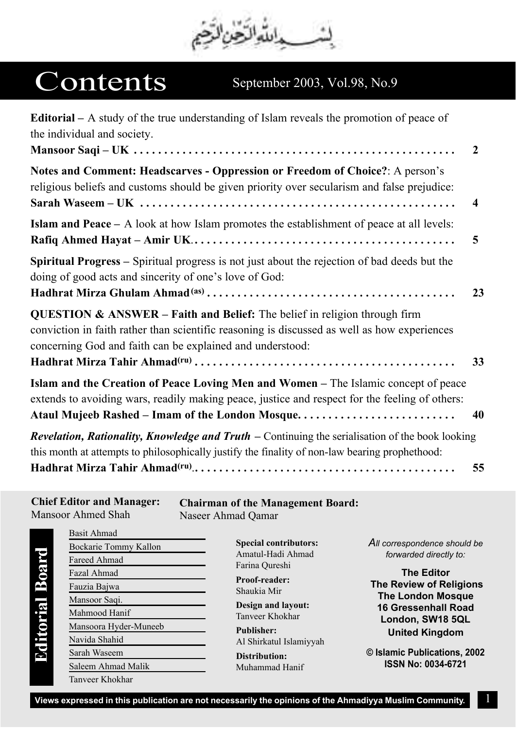## Contents September 2003, Vol.98, No.9

| <b>Editorial</b> – A study of the true understanding of Islam reveals the promotion of peace of<br>the individual and society.                                                                                                           |              |
|------------------------------------------------------------------------------------------------------------------------------------------------------------------------------------------------------------------------------------------|--------------|
|                                                                                                                                                                                                                                          | $\mathbf{2}$ |
| Notes and Comment: Headscarves - Oppression or Freedom of Choice?: A person's<br>religious beliefs and customs should be given priority over secularism and false prejudice:                                                             | 4            |
| <b>Islam and Peace - A look at how Islam promotes the establishment of peace at all levels:</b>                                                                                                                                          | 5            |
| Spiritual Progress – Spiritual progress is not just about the rejection of bad deeds but the<br>doing of good acts and sincerity of one's love of God:                                                                                   | 23           |
| QUESTION & ANSWER – Faith and Belief: The belief in religion through firm<br>conviction in faith rather than scientific reasoning is discussed as well as how experiences<br>concerning God and faith can be explained and understood:   | 33           |
| Islam and the Creation of Peace Loving Men and Women - The Islamic concept of peace<br>extends to avoiding wars, readily making peace, justice and respect for the feeling of others:<br>Ataul Mujeeb Rashed - Imam of the London Mosque | 40           |
| <b>Revelation, Rationality, Knowledge and Truth – Continuing the serialisation of the book looking</b><br>this month at attempts to philosophically justify the finality of non-law bearing prophethood:                                 | 55           |

**Chief Editor and Manager:**  Mansoor Ahmed Shah

**Editorial Board** 

**Chairman of the Management Board:**  Naseer Ahmad Qamar

Basit Ahmad Bockarie Tommy Kallon Fareed Ahmad Fazal Ahmad Fauzia Bajwa Mansoor Saqi. Mahmood Hanif Mansoora Hyder-Muneeb Navida Shahid Sarah Waseem Saleem Ahmad Malik Tanveer Khokhar

**Special contributors:** Amatul-Hadi Ahmad Farina Qureshi

**Proof-reader:** Shaukia Mir

**Design and layout:** Tanveer Khokhar

**Publisher:** Al Shirkatul Islamiyyah

**Distribution:** Muhammad Hanif *All correspondence should be forwarded directly to:*

**The Editor The Review of Religions The London Mosque 16 Gressenhall Road London, SW18 5QL United Kingdom**

**© Islamic Publications, 2002 ISSN No: 0034-6721**

1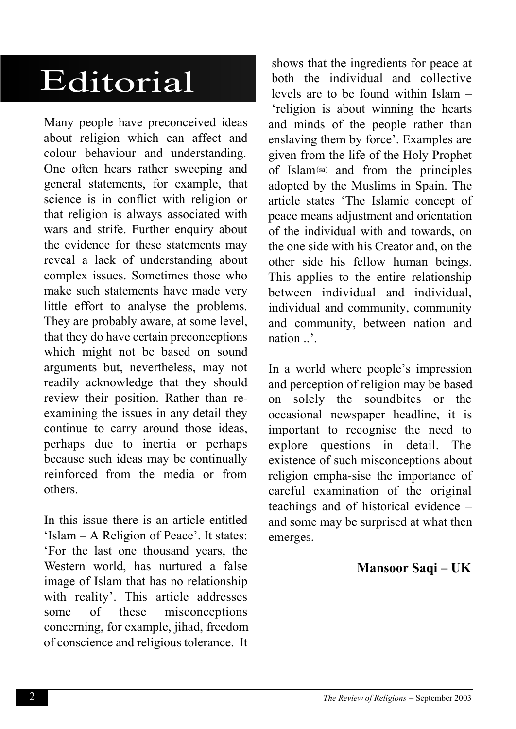## Editorial

Many people have preconceived ideas about religion which can affect and colour behaviour and understanding. One often hears rather sweeping and general statements, for example, that science is in conflict with religion or that religion is always associated with wars and strife. Further enquiry about the evidence for these statements may reveal a lack of understanding about complex issues. Sometimes those who make such statements have made very little effort to analyse the problems. They are probably aware, at some level, that they do have certain preconceptions which might not be based on sound arguments but, nevertheless, may not readily acknowledge that they should review their position. Rather than reexamining the issues in any detail they continue to carry around those ideas, perhaps due to inertia or perhaps because such ideas may be continually reinforced from the media or from others.

In this issue there is an article entitled 'Islam – A Religion of Peace'. It states: 'For the last one thousand years, the Western world, has nurtured a false image of Islam that has no relationship with reality'. This article addresses some of these misconceptions concerning, for example, jihad, freedom of conscience and religious tolerance. It

shows that the ingredients for peace at both the individual and collective levels are to be found within Islam – 'religion is about winning the hearts and minds of the people rather than enslaving them by force'. Examples are given from the life of the Holy Prophet of Islam $($ sa) and from the principles adopted by the Muslims in Spain. The article states 'The Islamic concept of peace means adjustment and orientation of the individual with and towards, on the one side with his Creator and, on the other side his fellow human beings. This applies to the entire relationship between individual and individual, individual and community, community and community, between nation and nation  $\cdot$ 

In a world where people's impression and perception of religion may be based on solely the soundbites or the occasional newspaper headline, it is important to recognise the need to explore questions in detail. The existence of such misconceptions about religion empha-sise the importance of careful examination of the original teachings and of historical evidence – and some may be surprised at what then emerges.

#### **Mansoor Saqi – UK**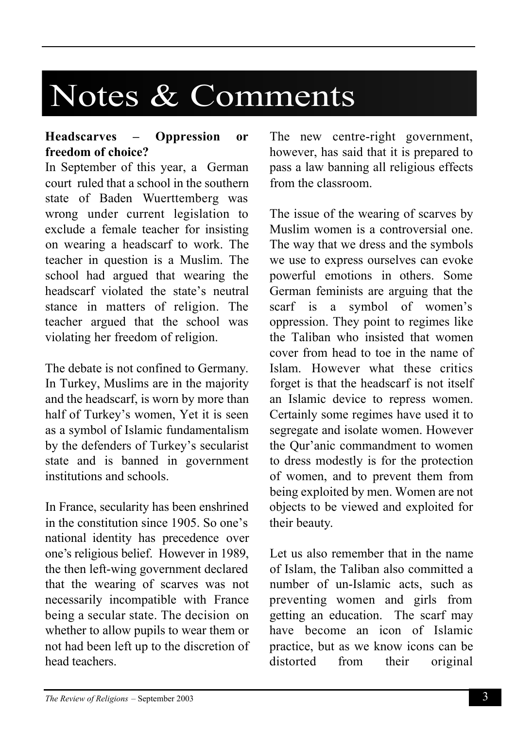# Notes & Comments

### **Headscarves – Oppression or freedom of choice?**

In September of this year, a German court ruled that a school in the southern state of Baden Wuerttemberg was wrong under current legislation to exclude a female teacher for insisting on wearing a headscarf to work. The teacher in question is a Muslim. The school had argued that wearing the headscarf violated the state's neutral stance in matters of religion. The teacher argued that the school was violating her freedom of religion.

The debate is not confined to Germany. In Turkey, Muslims are in the majority and the headscarf, is worn by more than half of Turkey's women, Yet it is seen as a symbol of Islamic fundamentalism by the defenders of Turkey's secularist state and is banned in government institutions and schools.

In France, secularity has been enshrined in the constitution since 1905. So one's national identity has precedence over one's religious belief. However in 1989, the then left-wing government declared that the wearing of scarves was not necessarily incompatible with France being a secular state. The decision on whether to allow pupils to wear them or not had been left up to the discretion of head teachers.

The new centre-right government. however, has said that it is prepared to pass a law banning all religious effects from the classroom.

The issue of the wearing of scarves by Muslim women is a controversial one. The way that we dress and the symbols we use to express ourselves can evoke powerful emotions in others. Some German feminists are arguing that the scarf is a symbol of women's oppression. They point to regimes like the Taliban who insisted that women cover from head to toe in the name of Islam. However what these critics forget is that the headscarf is not itself an Islamic device to repress women. Certainly some regimes have used it to segregate and isolate women. However the Qur'anic commandment to women to dress modestly is for the protection of women, and to prevent them from being exploited by men. Women are not objects to be viewed and exploited for their beauty.

Let us also remember that in the name of Islam, the Taliban also committed a number of un-Islamic acts, such as preventing women and girls from getting an education. The scarf may have become an icon of Islamic practice, but as we know icons can be distorted from their original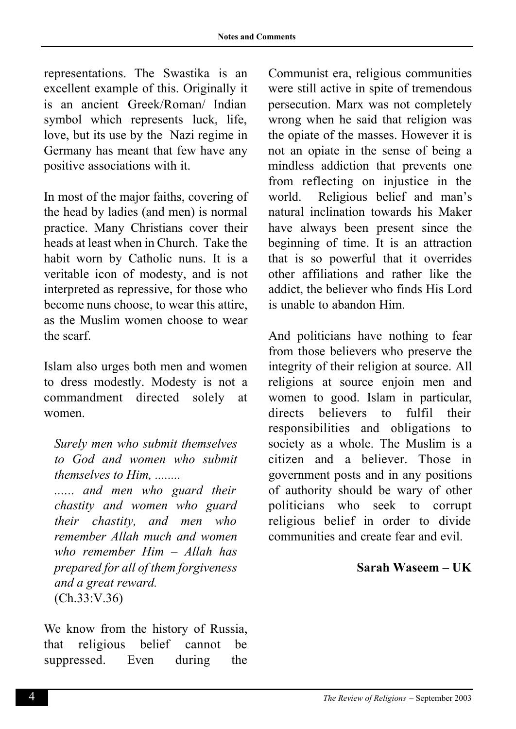representations. The Swastika is an excellent example of this. Originally it is an ancient Greek/Roman/ Indian symbol which represents luck, life, love, but its use by the Nazi regime in Germany has meant that few have any positive associations with it.

In most of the major faiths, covering of the head by ladies (and men) is normal practice. Many Christians cover their heads at least when in Church. Take the habit worn by Catholic nuns. It is a veritable icon of modesty, and is not interpreted as repressive, for those who become nuns choose, to wear this attire, as the Muslim women choose to wear the scarf.

Islam also urges both men and women to dress modestly. Modesty is not a commandment directed solely at women.

*Surely men who submit themselves to God and women who submit themselves to Him, ........*

*...... and men who guard their chastity and women who guard their chastity, and men who remember Allah much and women who remember Him – Allah has prepared for all of them forgiveness and a great reward.*  (Ch.33:V.36)

We know from the history of Russia, that religious belief cannot be suppressed. Even during the Communist era, religious communities were still active in spite of tremendous persecution. Marx was not completely wrong when he said that religion was the opiate of the masses. However it is not an opiate in the sense of being a mindless addiction that prevents one from reflecting on injustice in the world. Religious belief and man's natural inclination towards his Maker have always been present since the beginning of time. It is an attraction that is so powerful that it overrides other affiliations and rather like the addict, the believer who finds His Lord is unable to abandon Him.

And politicians have nothing to fear from those believers who preserve the integrity of their religion at source. All religions at source enjoin men and women to good. Islam in particular, directs believers to fulfil their responsibilities and obligations to society as a whole. The Muslim is a citizen and a believer. Those in government posts and in any positions of authority should be wary of other politicians who seek to corrupt religious belief in order to divide communities and create fear and evil.

#### **Sarah Waseem – UK**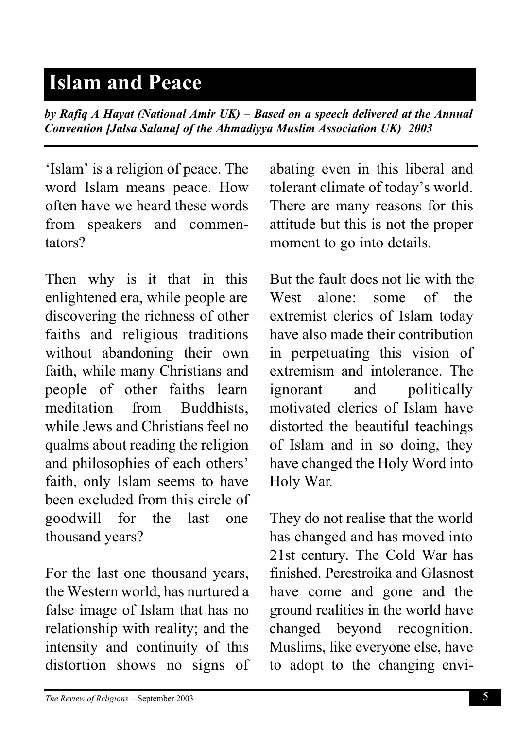### **Islam and Peace**

*by Rafiq A Hayat (National Amir UK) – Based on a speech delivered at the Annual Convention [Jalsa Salana] of the Ahmadiyya Muslim Association UK) 2003*

'Islam' is a religion of peace. The word Islam means peace. How often have we heard these words from speakers and commentators?

Then why is it that in this enlightened era, while people are discovering the richness of other faiths and religious traditions without abandoning their own faith, while many Christians and people of other faiths learn meditation from Buddhists, while Jews and Christians feel no qualms about reading the religion and philosophies of each others' faith, only Islam seems to have been excluded from this circle of goodwill for the last one thousand years?

For the last one thousand years, the Western world, has nurtured a false image of Islam that has no relationship with reality; and the intensity and continuity of this distortion shows no signs of

abating even in this liberal and tolerant climate of today's world. There are many reasons for this attitude but this is not the proper moment to go into details.

But the fault does not lie with the West alone: some of the extremist clerics of Islam today have also made their contribution in perpetuating this vision of extremism and intolerance. The ignorant and politically motivated clerics of Islam have distorted the beautiful teachings of Islam and in so doing, they have changed the Holy Word into Holy War.

They do not realise that the world has changed and has moved into 21st century. The Cold War has finished. Perestroika and Glasnost have come and gone and the ground realities in the world have changed beyond recognition. Muslims, like everyone else, have to adopt to the changing envi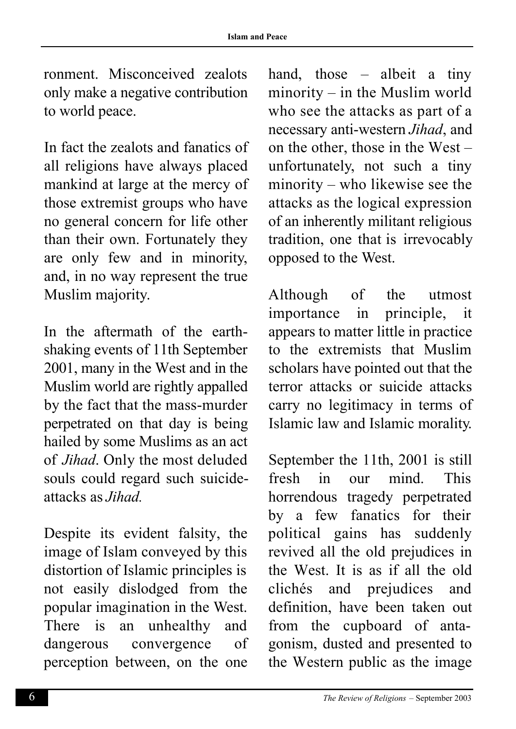ronment. Misconceived zealots only make a negative contribution to world peace.

In fact the zealots and fanatics of all religions have always placed mankind at large at the mercy of those extremist groups who have no general concern for life other than their own. Fortunately they are only few and in minority, and, in no way represent the true Muslim majority.

In the aftermath of the earthshaking events of 11th September 2001, many in the West and in the Muslim world are rightly appalled by the fact that the mass-murder perpetrated on that day is being hailed by some Muslims as an act of *Jihad*. Only the most deluded souls could regard such suicideattacks as *Jihad* 

Despite its evident falsity, the image of Islam conveyed by this distortion of Islamic principles is not easily dislodged from the popular imagination in the West. There is an unhealthy and dangerous convergence of perception between, on the one hand, those – albeit a tiny minority – in the Muslim world who see the attacks as part of a necessary anti-western *Jihad*, and on the other, those in the West – unfortunately, not such a tiny minority – who likewise see the attacks as the logical expression of an inherently militant religious tradition, one that is irrevocably opposed to the West.

Although of the utmost importance in principle, it appears to matter little in practice to the extremists that Muslim scholars have pointed out that the terror attacks or suicide attacks carry no legitimacy in terms of Islamic law and Islamic morality.

September the 11th, 2001 is still fresh in our mind. This horrendous tragedy perpetrated by a few fanatics for their political gains has suddenly revived all the old prejudices in the West. It is as if all the old clichés and prejudices and definition, have been taken out from the cupboard of antagonism, dusted and presented to the Western public as the image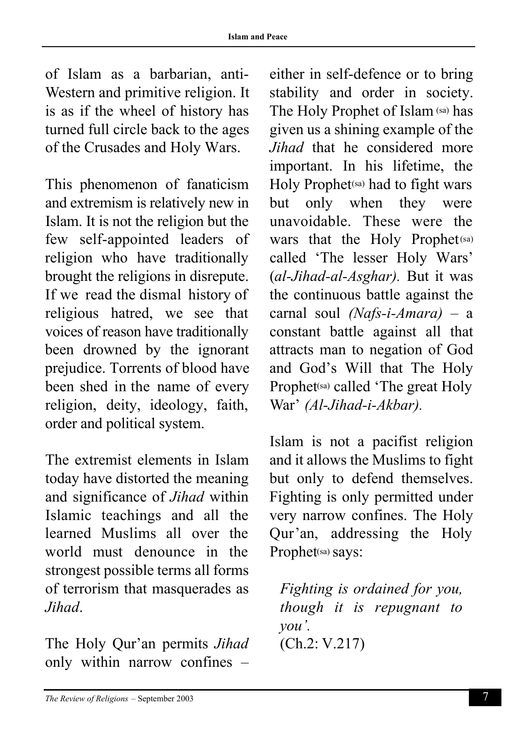of Islam as a barbarian, anti-Western and primitive religion. It is as if the wheel of history has turned full circle back to the ages of the Crusades and Holy Wars.

This phenomenon of fanaticism and extremism is relatively new in Islam. It is not the religion but the few self-appointed leaders of religion who have traditionally brought the religions in disrepute. If we read the dismal history of religious hatred, we see that voices of reason have traditionally been drowned by the ignorant prejudice. Torrents of blood have been shed in the name of every religion, deity, ideology, faith, order and political system.

The extremist elements in Islam today have distorted the meaning and significance of *Jihad* within Islamic teachings and all the learned Muslims all over the world must denounce in the strongest possible terms all forms of terrorism that masquerades as *Jihad*.

The Holy Qur'an permits *Jihad* only within narrow confines –

either in self-defence or to bring stability and order in society. The Holy Prophet of Islam (sa) has given us a shining example of the *Jihad* that he considered more important. In his lifetime, the Holy Prophet<sup>(sa)</sup> had to fight wars but only when they were unavoidable. These were the wars that the Holy Prophet<sup>(sa)</sup> called 'The lesser Holy Wars' (*al-Jihad-al-Asghar).* But it was the continuous battle against the carnal soul *(Nafs-i-Amara) –* a constant battle against all that attracts man to negation of God and God's Will that The Holy Prophet<sup>(sa)</sup> called 'The great Holy War' *(Al-Jihad-i-Akbar).* 

Islam is not a pacifist religion and it allows the Muslims to fight but only to defend themselves. Fighting is only permitted under very narrow confines. The Holy Qur'an, addressing the Holy Prophet(sa) says:

*Fighting is ordained for you, though it is repugnant to you'.* (Ch.2: V.217)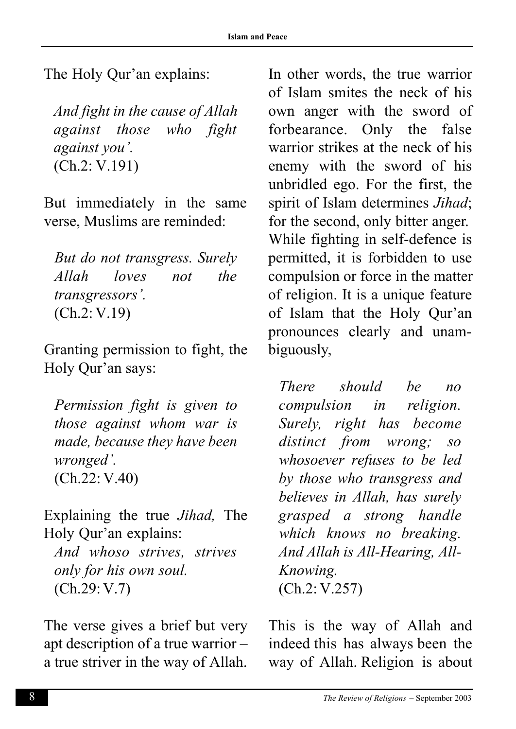The Holy Qur'an explains:

*And fight in the cause of Allah against those who fight against you'.* (Ch.2: V.191)

But immediately in the same verse, Muslims are reminded:

*But do not transgress. Surely Allah loves not the transgressors'.*  (Ch.2: V.19)

Granting permission to fight, the Holy Qur'an says:

*Permission fight is given to those against whom war is made, because they have been wronged'.* (Ch.22: V.40)

Explaining the true *Jihad,* The Holy Qur'an explains:

*And whoso strives, strives only for his own soul.* (Ch.29: V.7)

The verse gives a brief but very apt description of a true warrior – a true striver in the way of Allah. In other words, the true warrior of Islam smites the neck of his own anger with the sword of forbearance. Only the false warrior strikes at the neck of his enemy with the sword of his unbridled ego. For the first, the spirit of Islam determines *Jihad*; for the second, only bitter anger. While fighting in self-defence is permitted, it is forbidden to use compulsion or force in the matter of religion. It is a unique feature of Islam that the Holy Qur'an pronounces clearly and unambiguously,

*There should be no compulsion in religion. Surely, right has become distinct from wrong; so whosoever refuses to be led by those who transgress and believes in Allah, has surely grasped a strong handle which knows no breaking. And Allah is All-Hearing, All-Knowing.* (Ch.2: V.257)

This is the way of Allah and indeed this has always been the way of Allah. Religion is about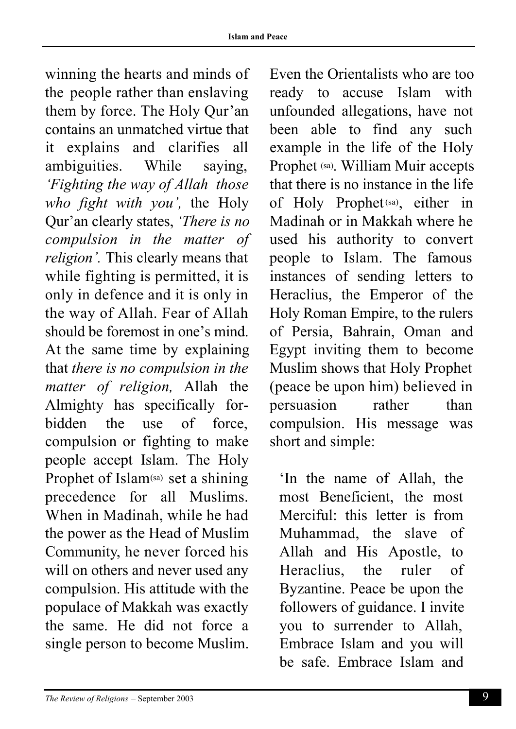winning the hearts and minds of the people rather than enslaving them by force. The Holy Our'an contains an unmatched virtue that it explains and clarifies all ambiguities. While saying, *'Fighting the way of Allah those who fight with you',* the Holy Our'an clearly states, *'There is no compulsion in the matter of religion'.* This clearly means that while fighting is permitted, it is only in defence and it is only in the way of Allah. Fear of Allah should be foremost in one's mind. At the same time by explaining that *there is no compulsion in the matter of religion,* Allah the Almighty has specifically forbidden the use of force, compulsion or fighting to make people accept Islam. The Holy Prophet of Islam(sa) set a shining precedence for all Muslims. When in Madinah, while he had the power as the Head of Muslim Community, he never forced his will on others and never used any compulsion. His attitude with the populace of Makkah was exactly the same. He did not force a single person to become Muslim.

Even the Orientalists who are too ready to accuse Islam with unfounded allegations, have not been able to find any such example in the life of the Holy Prophet (sa). William Muir accepts that there is no instance in the life of Holy Prophet<sup>(sa)</sup>, either in Madinah or in Makkah where he used his authority to convert people to Islam. The famous instances of sending letters to Heraclius, the Emperor of the Holy Roman Empire, to the rulers of Persia, Bahrain, Oman and Egypt inviting them to become Muslim shows that Holy Prophet (peace be upon him) believed in persuasion rather than compulsion. His message was short and simple:

'In the name of Allah, the most Beneficient, the most Merciful: this letter is from Muhammad, the slave of Allah and His Apostle, to Heraclius, the ruler of Byzantine. Peace be upon the followers of guidance. I invite you to surrender to Allah, Embrace Islam and you will be safe. Embrace Islam and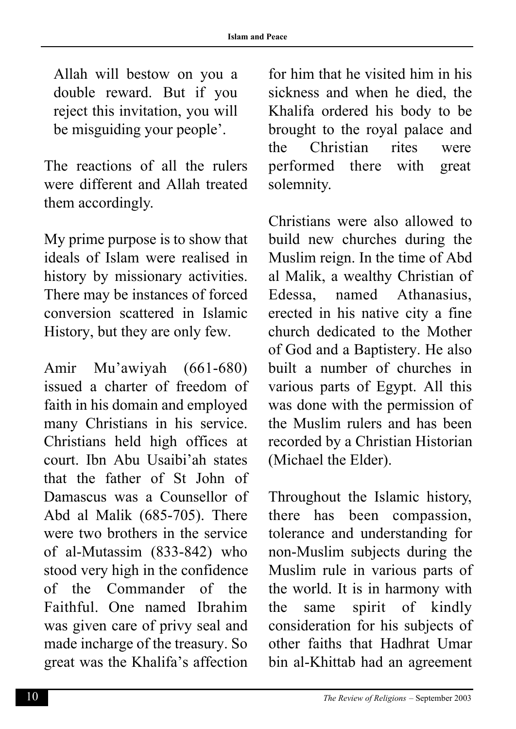Allah will bestow on you a double reward. But if you reject this invitation, you will be misguiding your people'.

The reactions of all the rulers were different and Allah treated them accordingly.

My prime purpose is to show that ideals of Islam were realised in history by missionary activities. There may be instances of forced conversion scattered in Islamic History, but they are only few.

Amir Mu'awiyah (661-680) issued a charter of freedom of faith in his domain and employed many Christians in his service. Christians held high offices at court. Ibn Abu Usaibi'ah states that the father of St John of Damascus was a Counsellor of Abd al Malik (685-705). There were two brothers in the service of al-Mutassim (833-842) who stood very high in the confidence of the Commander of the Faithful. One named Ibrahim was given care of privy seal and made incharge of the treasury. So great was the Khalifa's affection

for him that he visited him in his sickness and when he died, the Khalifa ordered his body to be brought to the royal palace and the Christian rites were performed there with great solemnity.

Christians were also allowed to build new churches during the Muslim reign. In the time of Abd al Malik, a wealthy Christian of Edessa, named Athanasius, erected in his native city a fine church dedicated to the Mother of God and a Baptistery. He also built a number of churches in various parts of Egypt. All this was done with the permission of the Muslim rulers and has been recorded by a Christian Historian (Michael the Elder).

Throughout the Islamic history, there has been compassion, tolerance and understanding for non-Muslim subjects during the Muslim rule in various parts of the world. It is in harmony with the same spirit of kindly consideration for his subjects of other faiths that Hadhrat Umar bin al-Khittab had an agreement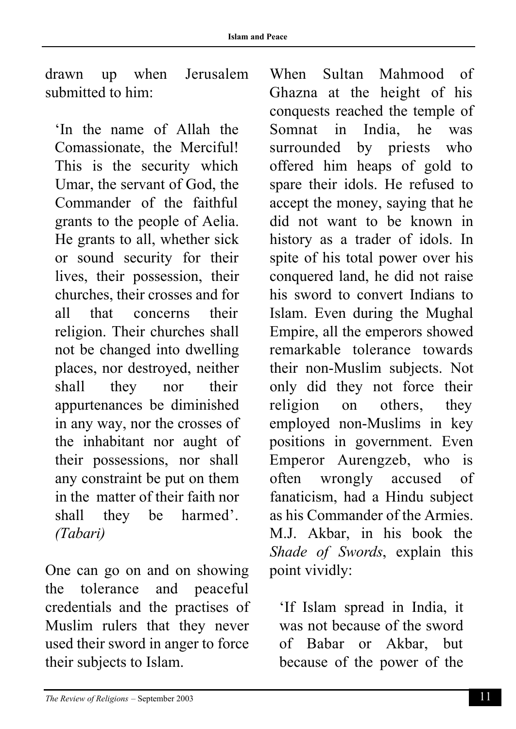drawn up when Jerusalem submitted to him:

'In the name of Allah the Comassionate, the Merciful! This is the security which Umar, the servant of God, the Commander of the faithful grants to the people of Aelia. He grants to all, whether sick or sound security for their lives, their possession, their churches, their crosses and for all that concerns their religion. Their churches shall not be changed into dwelling places, nor destroyed, neither shall they nor their appurtenances be diminished in any way, nor the crosses of the inhabitant nor aught of their possessions, nor shall any constraint be put on them in the matter of their faith nor shall they be harmed'. *(Tabari)*

One can go on and on showing the tolerance and peaceful credentials and the practises of Muslim rulers that they never used their sword in anger to force their subjects to Islam.

When Sultan Mahmood of Ghazna at the height of his conquests reached the temple of Somnat in India, he was surrounded by priests who o ffered him heaps of gold to spare their idols. He refused to accept the money, saying that he did not want to be known in history as a trader of idols. In spite of his total power over his conquered land, he did not raise his sword to convert Indians to Islam. Even during the Mughal Empire, all the emperors showed remarkable tolerance towards their non-Muslim subjects. Not only did they not force their religion on others, they employed non-Muslims in key positions in government. Even Emperor Aurengzeb, who is often wrongly accused of fanaticism, had a Hindu subject as his Commander of the Armies. M.J. Akbar, in his book the Shade of Swords, explain this point vividly:

'If Islam spread in India, it was not because of the sword of Babar or Akbar, but because of the power of the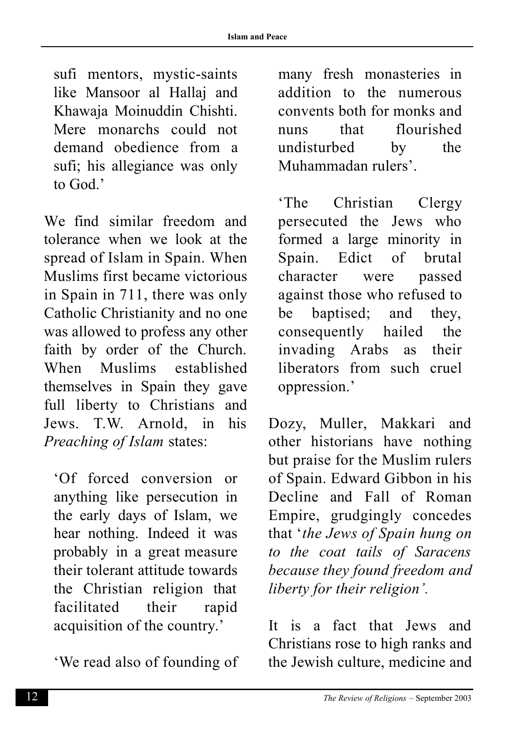sufi mentors, mystic-saints like Mansoor al Hallaj and Khawaja Moinuddin Chishti. Mere monarchs could not demand obedience from a sufi; his allegiance was only to God.'

We find similar freedom and tolerance when we look at the spread of Islam in Spain. When Muslims first became victorious in Spain in 711, there was only Catholic Christianity and no one was allowed to profess any other faith by order of the Church. When Muslims established themselves in Spain they gave full liberty to Christians and Jews. T.W. Arnold, in his *Preaching of Islam states:* 

'Of forced conversion or anything like persecution in the early days of Islam, we hear nothing. Indeed it was probably in a great measure their tolerant attitude towards the Christian religion that facilitated their rapid acquisition of the country. '

' We read also of founding of

many fresh monasteries in addition to the numerous convents both for monks and nuns that flourished undisturbed by the Muhammadan rulers'.

'The Christian Clergy persecuted the Jews who formed a large minority in Spain. Edict of brutal character were passed against those who refused to be baptised; and they, consequently hailed the invading Arabs as their liberators from such cruel oppression.'

Dozy, Muller, Makkari and other historians have nothing but praise for the Muslim rulers of Spain. Edward Gibbon in his Decline and Fall of Roman Empire, grudgingly concedes that '*the Jews of Spain hung on to the coat tails of Saracens because they found freedom and liberty for their religion'.* 

It is a fact that Jews and Christians rose to high ranks and the Jewish culture, medicine and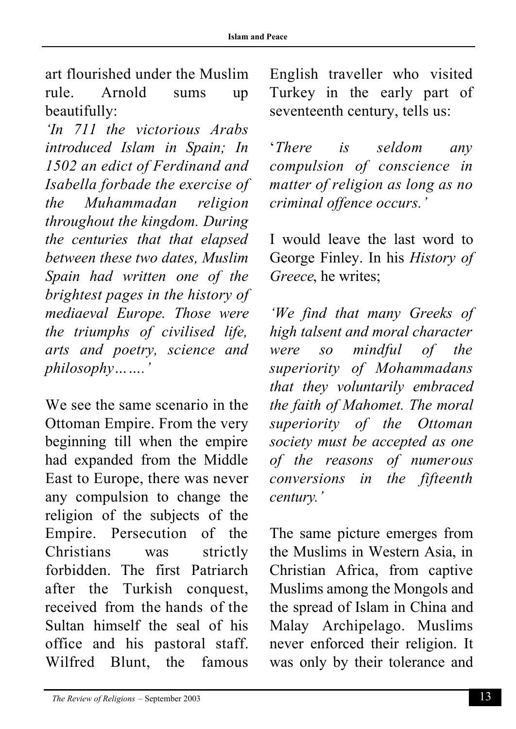art flourished under the Muslim rule. Arnold sums up beautifully:

*'In 711 the victorious Arabs introduced Islam in Spain: In 1502 an edict of Ferdinand and Isabella forbade the exercise of the Muhammadan religion throughout the kingdom. During the centuries that that elapsed between these two dates, Muslim Spain had written one of the brightest pages in the history of mediaeval Europe. Those were the triumphs of civilised life, a rts and poetry, science and philosophy.......* 

We see the same scenario in the Ottoman Empire. From the very beginning till when the empire had expanded from the Middle East to Europe, there was never any compulsion to change the religion of the subjects of the Empire. Persecution of the Christians was strictly forbidden. The first Patriarch after the Turkish conquest, received from the hands of the Sultan himself the seal of his office and his pastoral staff. Wilfred Blunt, the famous English traveller who visited Turkey in the early part of seventeenth century, tells us:

'*T h e re is seldom any compulsion of conscience in matter of religion as long as no criminal offence occurs.'*

I would leave the last word to George Finley. In his *History of Greece*, he writes;

*'We find that many Greeks of high talsent and moral character* were so mindful of the *superiority of Mohammadans that they voluntarily embraced the faith of Mahomet. The moral superiority of the Ottoman society must be accepted as one of the reasons of numerous conversions in the fifteenth century.'*

The same picture emerges from the Muslims in Western Asia, in Christian Africa, from captive Muslims among the Mongols and the spread of Islam in China and Malay Archipelago. Muslims never enforced their religion. It was only by their tolerance and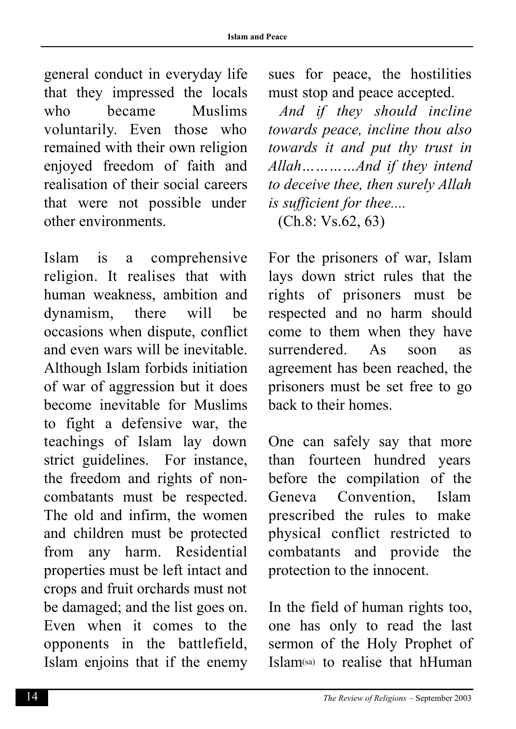general conduct in everyday life that they impressed the locals who became Muslims voluntarily. Even those who remained with their own religion enjoyed freedom of faith and realisation of their social careers that were not possible under other environments.

Islam is a comprehensive religion. It realises that with human weakness, ambition and dynamism, there will be occasions when dispute, conflict and even wars will be inevitable. Although Islam forbids initiation of war of aggression but it does become inevitable for Muslims to fight a defensive war, the teachings of Islam lay down strict guidelines. For instance, the freedom and rights of noncombatants must be respected. The old and infirm, the women and children must be protected from any harm. Residential properties must be left intact and crops and fruit orchards must not be damaged; and the list goes on. Even when it comes to the opponents in the battlefield, Islam enjoins that if the enemy sues for peace, the hostilities must stop and peace accepted.

*And if they should incline towards peace, incline thou also towards it and put thy trust in Allah…………And if they intend to deceive thee, then surely Allah is sufficient for thee....*  (Ch.8: Vs.62, 63)

For the prisoners of war, Islam lays down strict rules that the rights of prisoners must be respected and no harm should come to them when they have surrendered. As soon as agreement has been reached, the prisoners must be set free to go back to their homes.

One can safely say that more than fourteen hundred years before the compilation of the Geneva Convention, Islam prescribed the rules to make physical conflict restricted to combatants and provide the protection to the innocent.

In the field of human rights too, one has only to read the last sermon of the Holy Prophet of Islam(sa) to realise that hHuman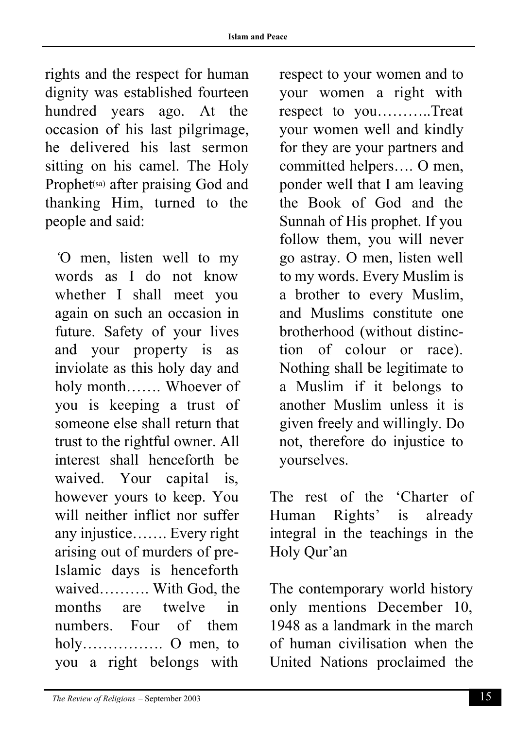rights and the respect for human dignity was established fourteen hundred years ago. At the occasion of his last pilgrimage, he delivered his last sermon sitting on his camel. The Holy Prophet<sup>(sa)</sup> after praising God and thanking Him, turned to the people and said:

*'*O men, listen well to my words as I do not know whether I shall meet you again on such an occasion in future. Safety of your lives and your property is as inviolate as this holy day and holy month……. Whoever of you is keeping a trust of someone else shall return that trust to the rightful owner. All interest shall henceforth be waived. Your capital is, however yours to keep. You will neither inflict nor suffer any injustice……. Every right arising out of murders of pre-Islamic days is henceforth waived………. With God, the months are twelve in numbers. Four of them holy……………. O men, to you a right belongs with

respect to your women and to your women a right with respect to you...........Treat your women well and kindly for they are your partners and committed helpers…. O men, ponder well that I am leaving the Book of God and the Sunnah of His prophet. If you follow them, you will never go astray. O men, listen well to my words. Every Muslim is a brother to every Muslim, and Muslims constitute one brotherhood (without distinction of colour or race). Nothing shall be legitimate to a Muslim if it belongs to another Muslim unless it is given freely and willingly. Do not, therefore do injustice to yourselves.

The rest of the 'Charter of Human Rights' is already integral in the teachings in the Holy Qur'an

The contemporary world history only mentions December 10, 1948 as a landmark in the march of human civilisation when the United Nations proclaimed the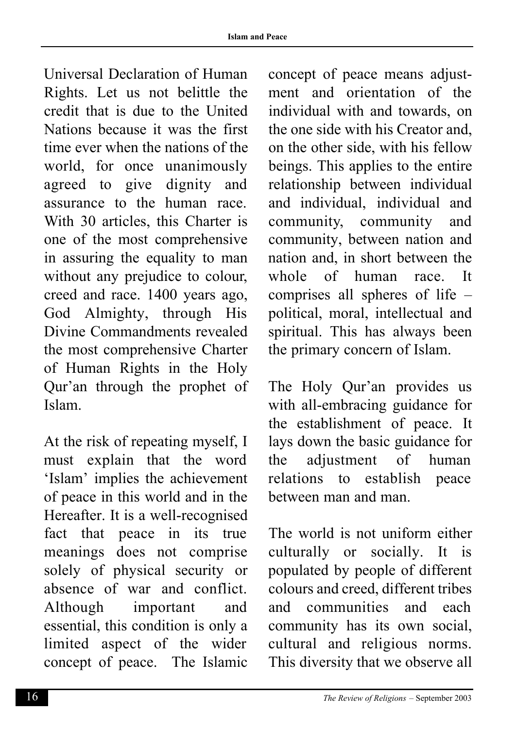Universal Declaration of Human Rights. Let us not belittle the credit that is due to the United Nations because it was the first time ever when the nations of the world, for once unanimously agreed to give dignity and assurance to the human race. With 30 articles, this Charter is one of the most comprehensive in assuring the equality to man without any prejudice to colour, creed and race. 1400 years ago, God Almighty, through His Divine Commandments revealed the most comprehensive Charter of Human Rights in the Holy Qur'an through the prophet of Islam.

At the risk of repeating myself, I must explain that the word 'Islam' implies the achievement of peace in this world and in the Hereafter. It is a well-recognised fact that peace in its true meanings does not comprise solely of physical security or absence of war and conflict. Although important and essential, this condition is only a limited aspect of the wider concept of peace. The Islamic concept of peace means adjustment and orientation of the individual with and towards, on the one side with his Creator and, on the other side, with his fellow beings. This applies to the entire relationship between individual and individual, individual and community, community and community, between nation and nation and, in short between the whole of human race. It comprises all spheres of life – political, moral, intellectual and spiritual. This has always been the primary concern of Islam.

The Holy Qur'an provides us with all-embracing guidance for the establishment of peace. It lays down the basic guidance for the adjustment of human relations to establish peace between man and man.

The world is not uniform either culturally or socially. It is populated by people of different colours and creed, different tribes and communities and each community has its own social, cultural and religious norms. This diversity that we observe all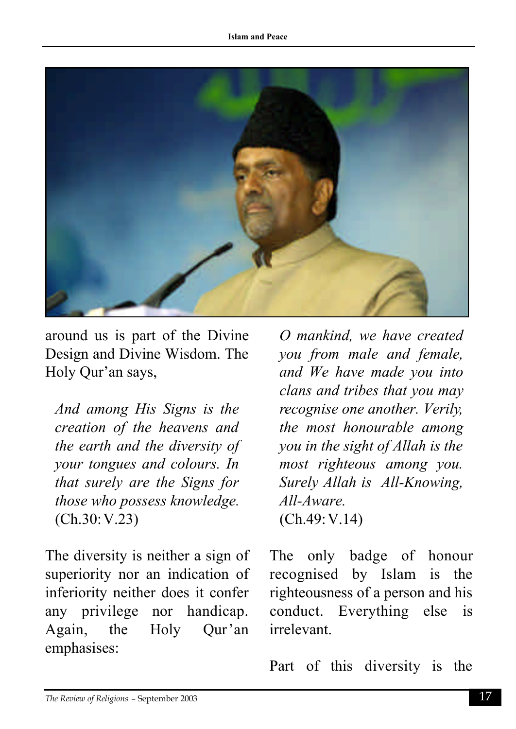

around us is part of the Divine Design and Divine Wisdom. The Holy Qur'an says,

*And among His Signs is the creation of the heavens and the earth and the diversity of your tongues and colours. In that surely are the Signs for those who possess knowledge.*  (Ch.30: V.23)

The diversity is neither a sign of superiority nor an indication of inferiority neither does it confer any privilege nor handicap. Again, the Holy Qur'an emphasises:

*O mankind, we have created you from male and female, and We have made you into clans and tribes that you may recognise one another. Verily, the most honourable among you in the sight of Allah is the most righteous among you. Surely Allah is All-Knowing, All-Aware.*  (Ch.49: V.14)

The only badge of honour recognised by Islam is the righteousness of a person and his conduct. Everything else is irrelevant.

Part of this diversity is the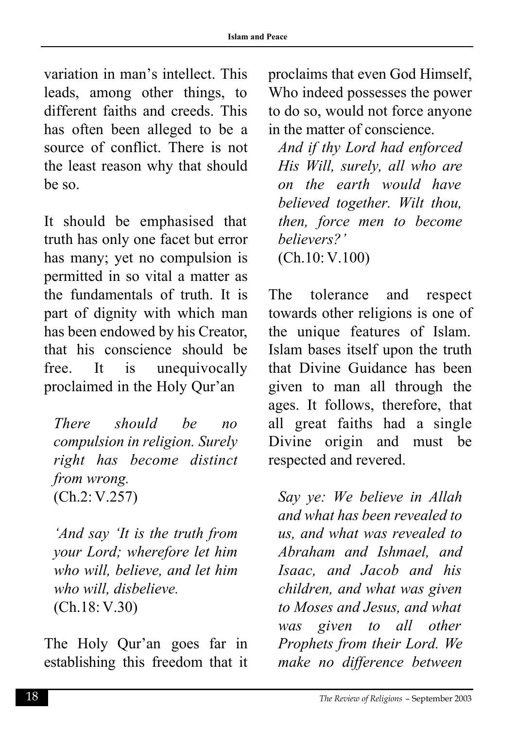variation in man's intellect. This leads, among other things, to different faiths and creeds. This has often been alleged to be a source of conflict. There is not the least reason why that should be so.

It should be emphasised that truth has only one facet but error has many; yet no compulsion is permitted in so vital a matter as the fundamentals of truth. It is part of dignity with which man has been endowed by his Creator, that his conscience should be free. It is unequivocally proclaimed in the Holy Qur'an

*There should be no compulsion in religion. Surely right has become distinct from wrong.*  (Ch.2: V.257)

*'And say 'It is the truth from your Lord; wherefore let him who will, believe, and let him who will, disbelieve.*  (Ch.18: V.30)

The Holy Qur'an goes far in establishing this freedom that it proclaims that even God Himself, Who indeed possesses the power to do so, would not force anyone in the matter of conscience.

*And if thy Lord had enforced His Will, surely, all who are on the earth would have believed together. Wilt thou, then, force men to become believers?'* (Ch.10: V.100)

The tolerance and respect towards other religions is one of the unique features of Islam. Islam bases itself upon the truth that Divine Guidance has been given to man all through the ages. It follows, therefore, that all great faiths had a single Divine origin and must be respected and revered.

*Say ye: We believe in Allah and what has been revealed to us, and what was revealed to Abraham and Ishmael, and Isaac, and Jacob and his children, and what was given to Moses and Jesus, and what was given to all other Prophets from their Lord. We make no difference between*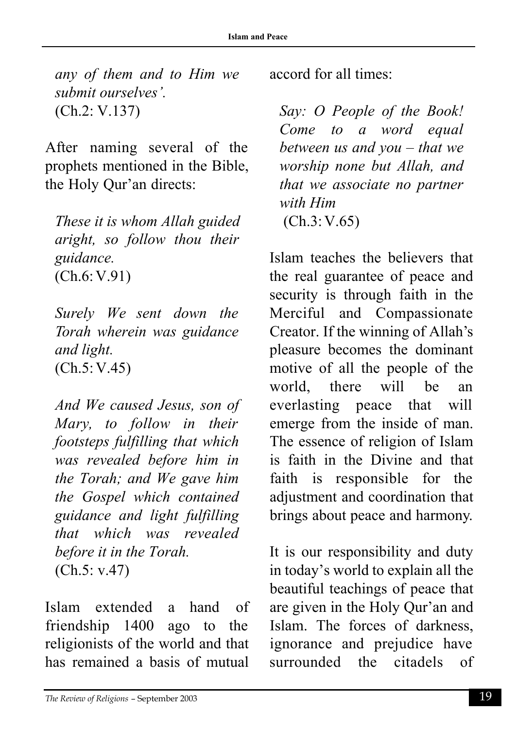*any of them and to Him we submit ourselves'.*  (Ch.2: V.137)

After naming several of the prophets mentioned in the Bible, the Holy Qur'an directs:

*These it is whom Allah guided aright, so follow thou their guidance.*  (Ch.6: V.91)

*Surely We sent down the Torah wherein was guidance and light.* (Ch.5: V.45)

*And We caused Jesus, son of Mary, to follow in their footsteps fulfilling that which was revealed before him in the Torah; and We gave him the Gospel which contained guidance and light fulfilling that which was revealed before it in the Torah.*  (Ch.5: v.47)

Islam extended a hand of friendship 1400 ago to the religionists of the world and that has remained a basis of mutual

accord for all times:

*Say: O People of the Book! Come to a word equal between us and you – that we worship none but Allah, and that we associate no partner with Him* (Ch.3: V.65)

Islam teaches the believers that the real guarantee of peace and security is through faith in the Merciful and Compassionate Creator. If the winning of Allah's pleasure becomes the dominant motive of all the people of the world, there will be an everlasting peace that will emerge from the inside of man. The essence of religion of Islam is faith in the Divine and that faith is responsible for the adjustment and coordination that brings about peace and harmony.

It is our responsibility and duty in today's world to explain all the beautiful teachings of peace that are given in the Holy Qur'an and Islam. The forces of darkness, ignorance and prejudice have surrounded the citadels of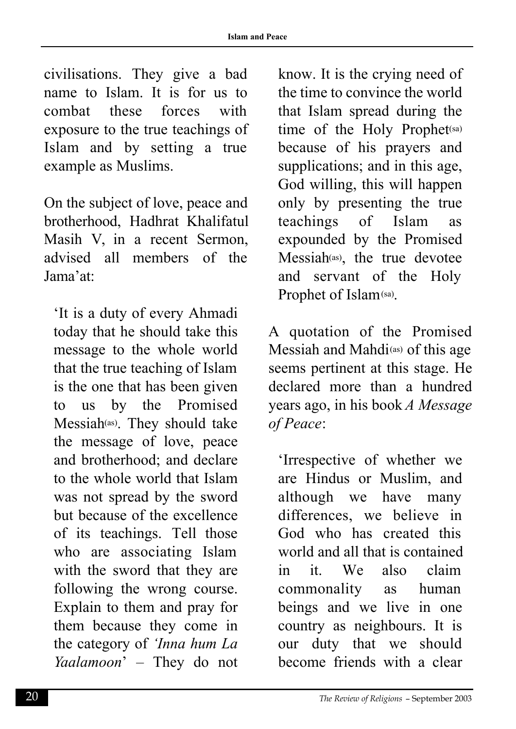civilisations. They give a bad name to Islam. It is for us to combat these forces with exposure to the true teachings of Islam and by setting a true example as Muslims.

On the subject of love, peace and brotherhood, Hadhrat Khalifatul Masih V, in a recent Sermon, advised all members of the Jama'at<sup>.</sup>

'It is a duty of every Ahmadi today that he should take this message to the whole world that the true teaching of Islam is the one that has been given to us by the Promised Messiah<sup>(as)</sup>. They should take the message of love, peace and brotherhood; and declare to the whole world that Islam was not spread by the sword but because of the excellence of its teachings. Tell those who are associating Islam with the sword that they are following the wrong course. Explain to them and pray for them because they come in the category of *'Inna hum La Yaalamoon*' – They do not

know. It is the crying need of the time to convince the world that Islam spread during the time of the Holy Prophet(sa) because of his prayers and supplications; and in this age, God willing, this will happen only by presenting the true teachings of Islam as expounded by the Promised Messiah<sup>(as)</sup>, the true devotee and servant of the Holy Prophet of Islam(sa).

A quotation of the Promised Messiah and Mahdi(as) of this age seems pertinent at this stage. He declared more than a hundred years ago, in his book *A Message of Peace*:

'Irrespective of whether we are Hindus or Muslim, and although we have many differences, we believe in God who has created this world and all that is contained in it. We also claim commonality as human beings and we live in one country as neighbours. It is our duty that we should become friends with a clear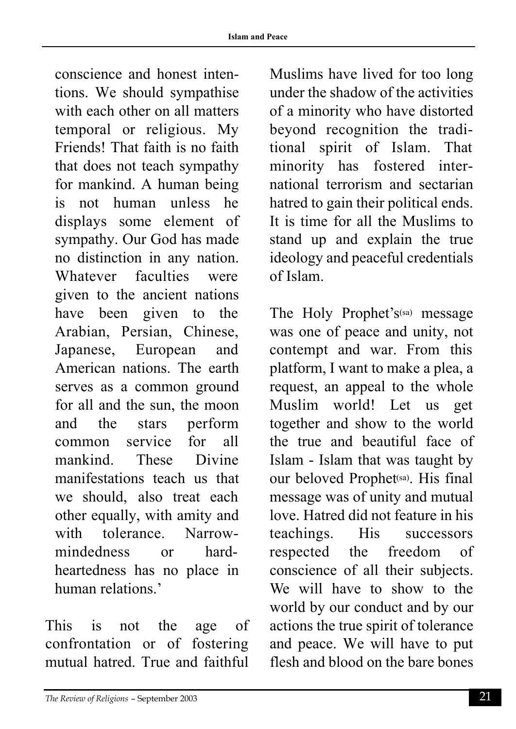conscience and honest intentions. We should sympathise with each other on all matters temporal or religious. My Friends! That faith is no faith that does not teach sympathy for mankind. A human being is not human unless he displays some element of sympathy. Our God has made no distinction in any nation. Whatever faculties were given to the ancient nations have been given to the Arabian, Persian, Chinese, Japanese, European and American nations. The earth serves as a common ground for all and the sun, the moon and the stars perform common service for all mankind. These Divine manifestations teach us that we should, also treat each other equally, with amity and with tolerance Narrowmindedness or hardheartedness has no place in human relations.'

This is not the age of confrontation or of fostering mutual hatred. True and faithful

Muslims have lived for too long under the shadow of the activities of a minority who have distorted beyond recognition the traditional spirit of Islam. That minority has fostered international terrorism and sectarian hatred to gain their political ends. It is time for all the Muslims to stand up and explain the true ideology and peaceful credentials of Islam.

The Holy Prophet's(sa) message was one of peace and unity, not contempt and war. From this platform, I want to make a plea, a request, an appeal to the whole Muslim world! Let us get together and show to the world the true and beautiful face of Islam - Islam that was taught by our beloved Prophet<sup>(sa)</sup>. His final message was of unity and mutual love. Hatred did not feature in his teachings. His successors respected the freedom of conscience of all their subjects. We will have to show to the world by our conduct and by our actions the true spirit of tolerance and peace. We will have to put flesh and blood on the bare bones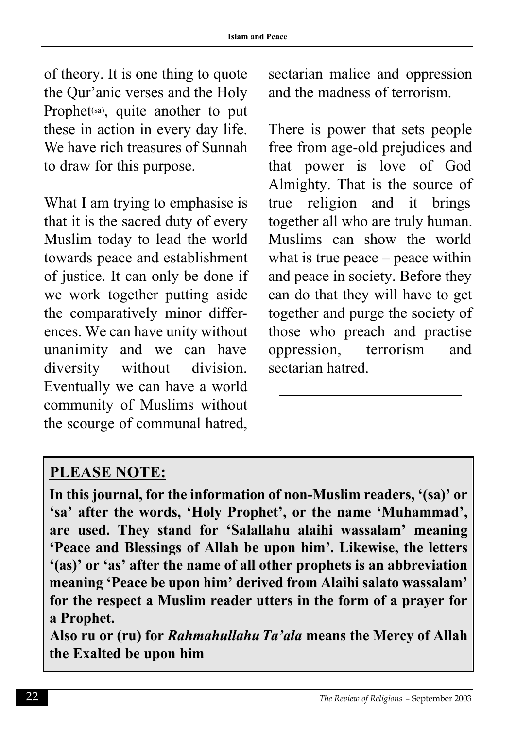of theory. It is one thing to quote the Qur'anic verses and the Holy Prophet<sup>(sa)</sup>, quite another to put these in action in every day life. We have rich treasures of Sunnah to draw for this purpose.

What I am trying to emphasise is that it is the sacred duty of every Muslim today to lead the world towards peace and establishment of justice. It can only be done if we work together putting aside the comparatively minor differences. We can have unity without unanimity and we can have diversity without division. Eventually we can have a world community of Muslims without the scourge of communal hatred,

sectarian malice and oppression and the madness of terrorism.

There is power that sets people free from age-old prejudices and that power is love of God Almighty. That is the source of true religion and it brings together all who are truly human. Muslims can show the world what is true peace – peace within and peace in society. Before they can do that they will have to get together and purge the society of those who preach and practise oppression, terrorism and sectarian hatred.

### **PLEASE NOTE:**

**In this journal, for the information of non-Muslim readers, '(sa)' or 'sa' after the words, 'Holy Prophet', or the name 'Muhammad', are used. They stand for 'Salallahu alaihi wassalam' meaning 'Peace and Blessings of Allah be upon him'. Likewise, the letters '(as)' or 'as' after the name of all other prophets is an abbreviation meaning 'Peace be upon him' derived from Alaihi salato wassalam' for the respect a Muslim reader utters in the form of a prayer for a Prophet.**

**Also ru or (ru) for** *Rahmahullahu Ta'ala* **means the Mercy of Allah the Exalted be upon him**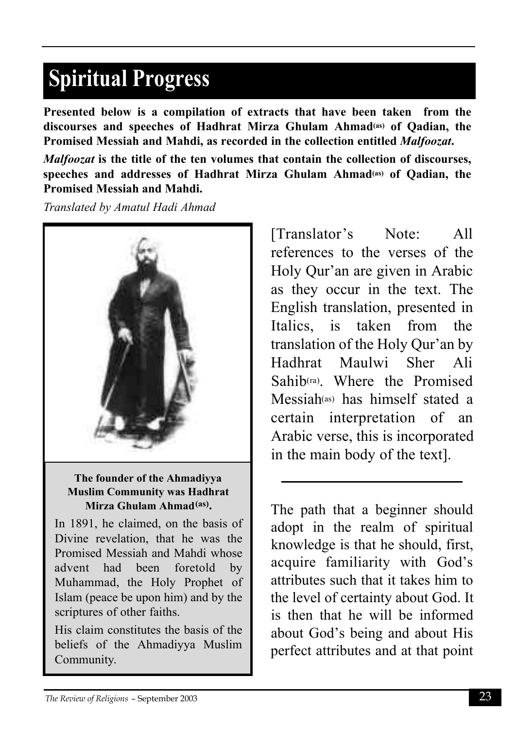## **Spiritual Progress**

**Presented below is a compilation of extracts that have been taken from the discourses and speeches of Hadhrat Mirza Ghulam Ahmad(as) of Qadian, the Promised Messiah and Mahdi, as recorded in the collection entitled** *Malfoozat***.**

*Malfoozat* **is the title of the ten volumes that contain the collection of discourses, speeches and addresses of Hadhrat Mirza Ghulam Ahmad(as) of Qadian, the Promised Messiah and Mahdi.**

*Translated by Amatul Hadi Ahmad*



**The founder of the Ahmadiyya Muslim Community was Hadhrat Mirza Ghulam Ahmad(as) .**

In 1891, he claimed, on the basis of Divine revelation, that he was the Promised Messiah and Mahdi whose advent had been foretold by Muhammad, the Holy Prophet of Islam (peace be upon him) and by the scriptures of other faiths.

His claim constitutes the basis of the beliefs of the Ahmadiyya Muslim Community.

[Translator's Note: All references to the verses of the Holy Qur'an are given in Arabic as they occur in the text. The English translation, presented in Italics, is taken from the translation of the Holy Qur'an by Hadhrat Maulwi Sher Ali  $S$ ahib $(ra)$ . Where the Promised. Messiah(as) has himself stated a certain interpretation of an Arabic verse, this is incorporated in the main body of the text].

The path that a beginner should adopt in the realm of spiritual knowledge is that he should, first, acquire familiarity with God's attributes such that it takes him to the level of certainty about God. It is then that he will be informed about God's being and about His perfect attributes and at that point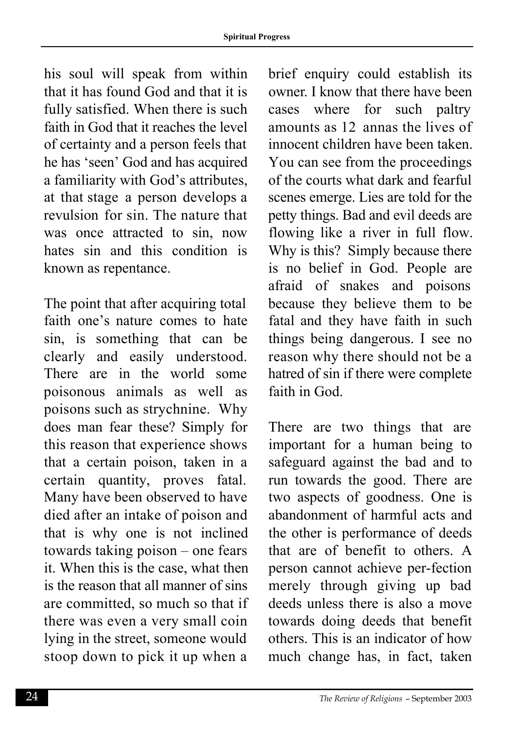his soul will speak from within that it has found God and that it is fully satisfied. When there is such faith in God that it reaches the level of certainty and a person feels that he has 'seen' God and has acquired a familiarity with God's attributes, at that stage a person develops a revulsion for sin. The nature that was once attracted to sin, now hates sin and this condition is known as repentance.

The point that after acquiring total faith one's nature comes to hate sin, is something that can be clearly and easily understood. There are in the world some poisonous animals as well as poisons such as strychnine. Why does man fear these? Simply for this reason that experience shows that a certain poison, taken in a certain quantity, proves fatal. Many have been observed to have died after an intake of poison and that is why one is not inclined towards taking poison – one fears it. When this is the case, what then is the reason that all manner of sins are committed, so much so that if there was even a very small coin lying in the street, someone would stoop down to pick it up when a

brief enquiry could establish its owner. I know that there have been cases where for such paltry amounts as 12 annas the lives of innocent children have been taken. You can see from the proceedings of the courts what dark and fearful scenes emerge. Lies are told for the petty things. Bad and evil deeds are flowing like a river in full flow. Why is this? Simply because there is no belief in God. People are afraid of snakes and poisons because they believe them to be fatal and they have faith in such things being dangerous. I see no reason why there should not be a hatred of sin if there were complete faith in God.

There are two things that are important for a human being to safeguard against the bad and to run towards the good. There are two aspects of goodness. One is abandonment of harmful acts and the other is performance of deeds that are of benefit to others. A person cannot achieve per-fection merely through giving up bad deeds unless there is also a move towards doing deeds that benefit others. This is an indicator of how much change has, in fact, taken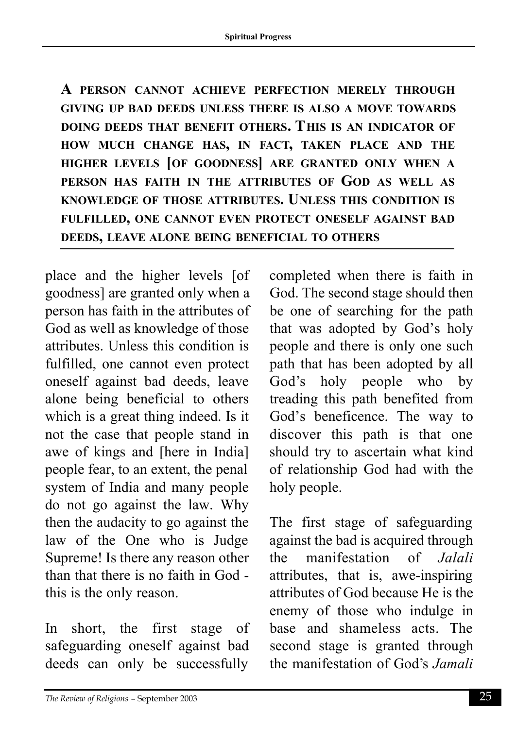**A PERSON CANNOT ACHIEVE PERFECTION MERELY THROUGH GIVING UP BAD DEEDS UNLESS THERE IS ALSO A MOVE TOWARDS DOING DEEDS THAT BENEFIT OTHERS. THIS IS AN INDICATOR OF HOW MUCH CHANGE HAS, IN FACT, TAKEN PLACE AND THE HIGHER LEVELS [OF GOODNESS] ARE GRANTED ONLY WHEN A PERSON HAS FAITH IN THE ATTRIBUTES OF GOD AS WELL AS KNOWLEDGE OF THOSE ATTRIBUTES. UNLESS THIS CONDITION IS FULFILLED, ONE CANNOT EVEN PROTECT ONESELF AGAINST BAD DEEDS, LEAVE ALONE BEING BENEFICIAL TO OTHERS**

place and the higher levels [of goodness] are granted only when a person has faith in the attributes of God as well as knowledge of those attributes. Unless this condition is fulfilled, one cannot even protect oneself against bad deeds, leave alone being beneficial to others which is a great thing indeed. Is it not the case that people stand in awe of kings and [here in India] people fear, to an extent, the penal system of India and many people do not go against the law. Why then the audacity to go against the law of the One who is Judge Supreme! Is there any reason other than that there is no faith in God this is the only reason.

In short, the first stage of safeguarding oneself against bad deeds can only be successfully

completed when there is faith in God. The second stage should then be one of searching for the path that was adopted by God's holy people and there is only one such path that has been adopted by all God's holy people who by treading this path benefited from God's beneficence. The way to discover this path is that one should try to ascertain what kind of relationship God had with the holy people.

The first stage of safeguarding against the bad is acquired through the manifestation of *Jalali* attributes, that is, awe-inspiring attributes of God because He is the enemy of those who indulge in base and shameless acts. The second stage is granted through the manifestation of God's *Jamali*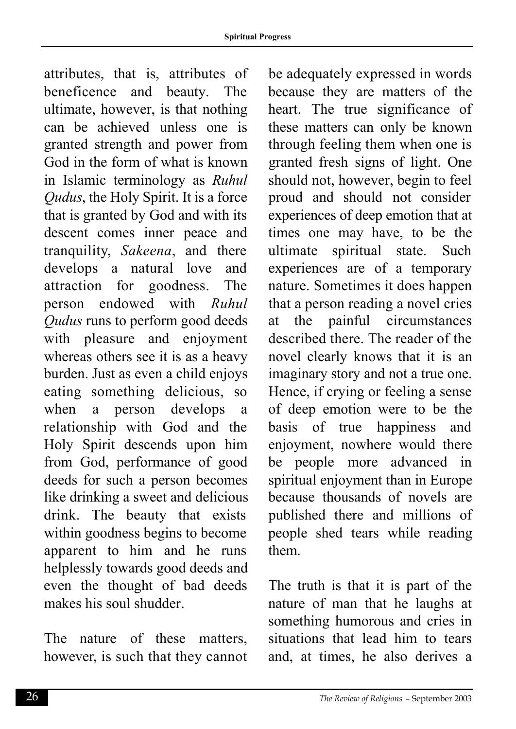attributes, that is, attributes of beneficence and beauty. The ultimate, however, is that nothing can be achieved unless one is granted strength and power from God in the form of what is known in Islamic terminology as *Ruhul Qudus*, the Holy Spirit. It is a force that is granted by God and with its descent comes inner peace and tranquility, *Sakeena*, and there develops a natural love and attraction for goodness. The person endowed with *Ruhul Qudus* runs to perform good deeds with pleasure and enjoyment whereas others see it is as a heavy burden. Just as even a child enjoys eating something delicious, so when a person develops a relationship with God and the Holy Spirit descends upon him from God, performance of good deeds for such a person becomes like drinking a sweet and delicious drink. The beauty that exists within goodness begins to become apparent to him and he runs helplessly towards good deeds and even the thought of bad deeds makes his soul shudder.

The nature of these matters, however, is such that they cannot be adequately expressed in words because they are matters of the heart. The true significance of these matters can only be known through feeling them when one is granted fresh signs of light. One should not, however, begin to feel proud and should not consider experiences of deep emotion that at times one may have, to be the ultimate spiritual state. Such experiences are of a temporary nature. Sometimes it does happen that a person reading a novel cries at the painful circumstances described there. The reader of the novel clearly knows that it is an imaginary story and not a true one. Hence, if crying or feeling a sense of deep emotion were to be the basis of true happiness and enjoyment, nowhere would there be people more advanced in spiritual enjoyment than in Europe because thousands of novels are published there and millions of people shed tears while reading them

The truth is that it is part of the nature of man that he laughs at something humorous and cries in situations that lead him to tears and, at times, he also derives a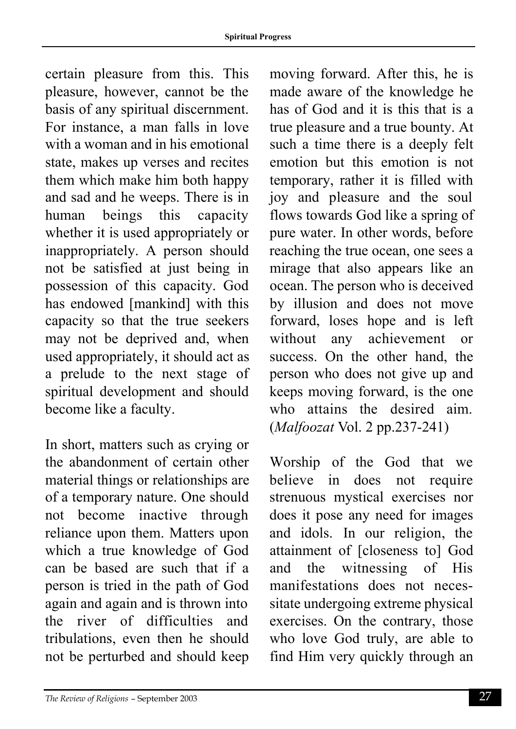certain pleasure from this. This pleasure, however, cannot be the basis of any spiritual discernment. For instance, a man falls in love with a woman and in his emotional state, makes up verses and recites them which make him both happy and sad and he weeps. There is in human beings this capacity whether it is used appropriately or inappropriately. A person should not be satisfied at just being in possession of this capacity. God has endowed [mankind] with this capacity so that the true seekers may not be deprived and, when used appropriately, it should act as a prelude to the next stage of spiritual development and should become like a faculty.

In short, matters such as crying or the abandonment of certain other material things or relationships are of a temporary nature. One should not become inactive through reliance upon them. Matters upon which a true knowledge of God can be based are such that if a person is tried in the path of God again and again and is thrown into the river of difficulties and tribulations, even then he should not be perturbed and should keep

moving forward. After this, he is made aware of the knowledge he has of God and it is this that is a true pleasure and a true bounty. At such a time there is a deeply felt emotion but this emotion is not temporary, rather it is filled with joy and pleasure and the soul flows towards God like a spring of pure water. In other words, before reaching the true ocean, one sees a mirage that also appears like an ocean. The person who is deceived by illusion and does not move forward, loses hope and is left without any achievement or success. On the other hand, the person who does not give up and keeps moving forward, is the one who attains the desired aim. (*Malfoozat* Vol. 2 pp.237-241)

Worship of the God that we believe in does not require strenuous mystical exercises nor does it pose any need for images and idols. In our religion, the attainment of [closeness to] God and the witnessing of His manifestations does not necessitate undergoing extreme physical exercises. On the contrary, those who love God truly, are able to find Him very quickly through an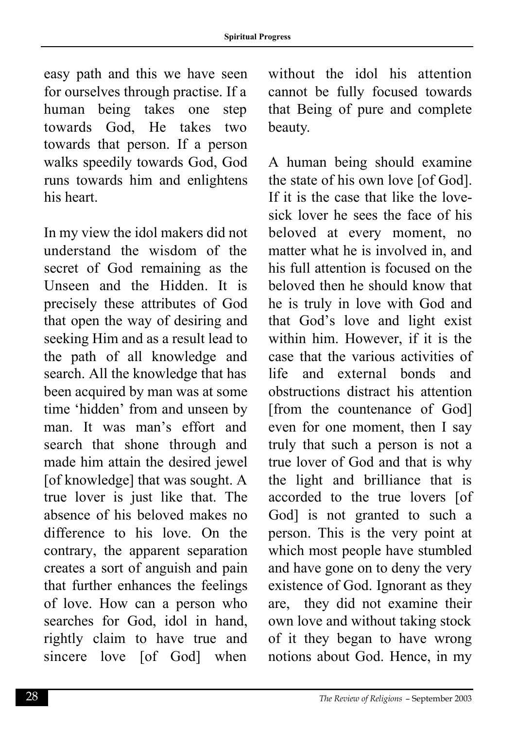easy path and this we have seen for ourselves through practise. If a human being takes one step towards God, He takes two towards that person. If a person walks speedily towards God, God runs towards him and enlightens his heart.

In my view the idol makers did not understand the wisdom of the secret of God remaining as the Unseen and the Hidden. It is precisely these attributes of God that open the way of desiring and seeking Him and as a result lead to the path of all knowledge and search. All the knowledge that has been acquired by man was at some time 'hidden' from and unseen by man. It was man's effort and search that shone through and made him attain the desired jewel [of knowledge] that was sought. A true lover is just like that. The absence of his beloved makes no difference to his love. On the contrary, the apparent separation creates a sort of anguish and pain that further enhances the feelings of love. How can a person who searches for God, idol in hand, rightly claim to have true and sincere love [of God] when without the idol his attention cannot be fully focused towards that Being of pure and complete beauty.

A human being should examine the state of his own love [of God]. If it is the case that like the lovesick lover he sees the face of his beloved at every moment, no matter what he is involved in, and his full attention is focused on the beloved then he should know that he is truly in love with God and that God's love and light exist within him. However, if it is the case that the various activities of life and external bonds and obstructions distract his attention [from the countenance of God] even for one moment, then I say truly that such a person is not a true lover of God and that is why the light and brilliance that is accorded to the true lovers [of God] is not granted to such a person. This is the very point at which most people have stumbled and have gone on to deny the very existence of God. Ignorant as they are, they did not examine their own love and without taking stock of it they began to have wrong notions about God. Hence, in my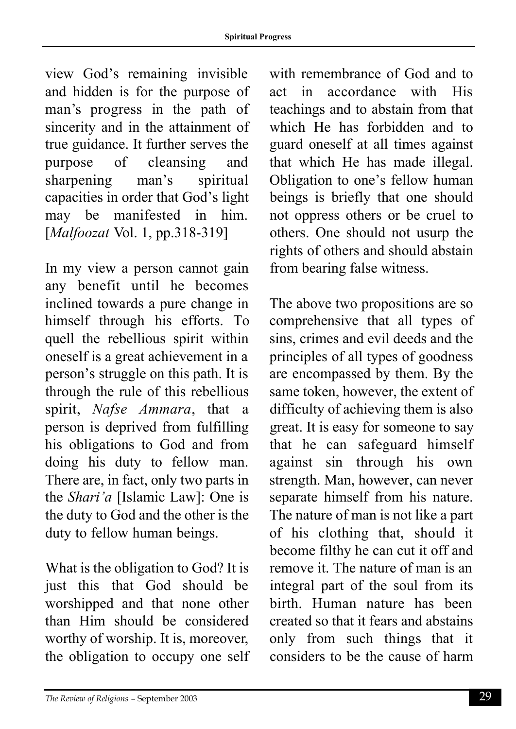view God's remaining invisible and hidden is for the purpose of man's progress in the path of sincerity and in the attainment of true guidance. It further serves the purpose of cleansing and sharpening man's spiritual capacities in order that God's light may be manifested in him. [*Malfoozat* Vol. 1, pp.318-319]

In my view a person cannot gain any benefit until he becomes inclined towards a pure change in himself through his efforts. To quell the rebellious spirit within oneself is a great achievement in a person's struggle on this path. It is through the rule of this rebellious spirit, *Nafse Ammara*, that a person is deprived from fulfilling his obligations to God and from doing his duty to fellow man. There are, in fact, only two parts in the *Shari'a* [Islamic Law]: One is the duty to God and the other is the duty to fellow human beings.

What is the obligation to God? It is just this that God should be worshipped and that none other than Him should be considered worthy of worship. It is, moreover, the obligation to occupy one self

with remembrance of God and to act in accordance with His teachings and to abstain from that which He has forbidden and to guard oneself at all times against that which He has made illegal. Obligation to one's fellow human beings is briefly that one should not oppress others or be cruel to others. One should not usurp the rights of others and should abstain from bearing false witness.

The above two propositions are so comprehensive that all types of sins, crimes and evil deeds and the principles of all types of goodness are encompassed by them. By the same token, however, the extent of difficulty of achieving them is also great. It is easy for someone to say that he can safeguard himself against sin through his own strength. Man, however, can never separate himself from his nature. The nature of man is not like a part of his clothing that, should it become filthy he can cut it off and remove it. The nature of man is an integral part of the soul from its birth. Human nature has been created so that it fears and abstains only from such things that it considers to be the cause of harm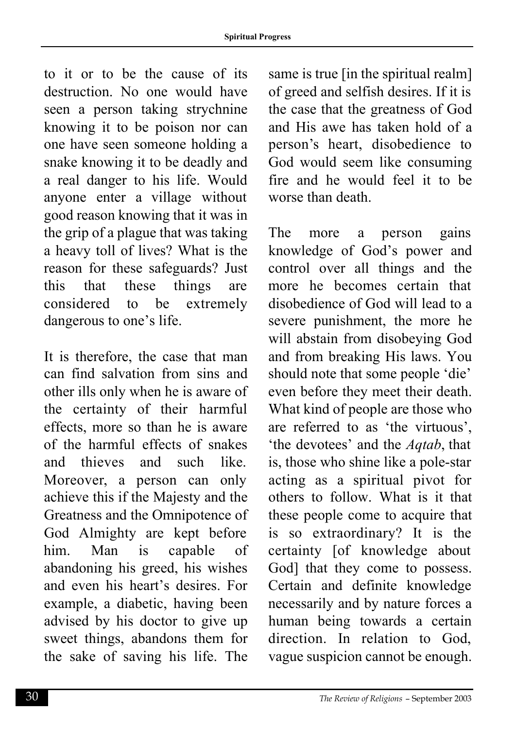to it or to be the cause of its destruction. No one would have seen a person taking strychnine knowing it to be poison nor can one have seen someone holding a snake knowing it to be deadly and a real danger to his life. Would anyone enter a village without good reason knowing that it was in the grip of a plague that was taking a heavy toll of lives? What is the reason for these safeguards? Just this that these things are considered to be extremely dangerous to one's life.

It is therefore, the case that man can find salvation from sins and other ills only when he is aware of the certainty of their harmful effects, more so than he is aware of the harmful effects of snakes and thieves and such like. Moreover, a person can only achieve this if the Majesty and the Greatness and the Omnipotence of God Almighty are kept before him. Man is capable of abandoning his greed, his wishes and even his heart's desires. For example, a diabetic, having been advised by his doctor to give up sweet things, abandons them for the sake of saving his life. The

same is true [in the spiritual realm] of greed and selfish desires. If it is the case that the greatness of God and His awe has taken hold of a person's heart, disobedience to God would seem like consuming fire and he would feel it to be worse than death

The more a person gains knowledge of God's power and control over all things and the more he becomes certain that disobedience of God will lead to a severe punishment, the more he will abstain from disobeying God and from breaking His laws. You should note that some people 'die' even before they meet their death. What kind of people are those who are referred to as 'the virtuous', 'the devotees' and the *Aqtab*, that is, those who shine like a pole-star acting as a spiritual pivot for others to follow. What is it that these people come to acquire that is so extraordinary? It is the certainty [of knowledge about God] that they come to possess. Certain and definite knowledge necessarily and by nature forces a human being towards a certain direction. In relation to God, vague suspicion cannot be enough.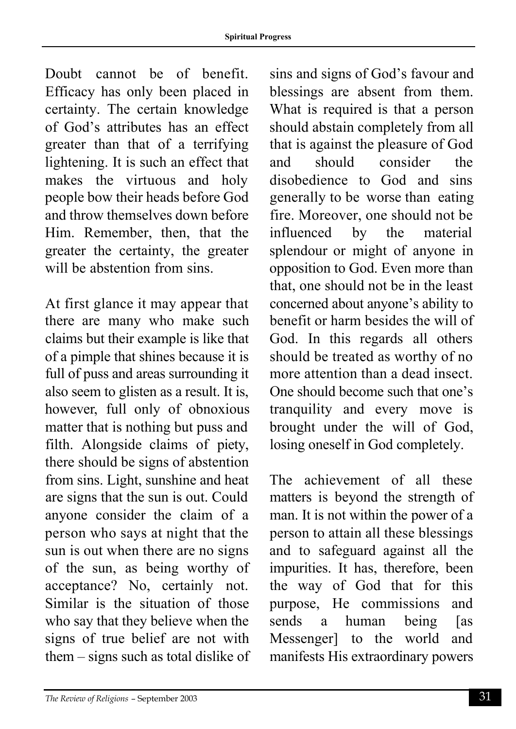Doubt cannot be of benefit. Efficacy has only been placed in certainty. The certain knowledge of God's attributes has an effect greater than that of a terrifying lightening. It is such an effect that makes the virtuous and holy people bow their heads before God and throw themselves down before Him. Remember, then, that the greater the certainty, the greater will be abstention from sins.

At first glance it may appear that there are many who make such claims but their example is like that of a pimple that shines because it is full of puss and areas surrounding it also seem to glisten as a result. It is, however, full only of obnoxious matter that is nothing but puss and filth. Alongside claims of piety, there should be signs of abstention from sins. Light, sunshine and heat are signs that the sun is out. Could anyone consider the claim of a person who says at night that the sun is out when there are no signs of the sun, as being worthy of acceptance? No, certainly not. Similar is the situation of those who say that they believe when the signs of true belief are not with them – signs such as total dislike of

sins and signs of God's favour and blessings are absent from them. What is required is that a person should abstain completely from all that is against the pleasure of God and should consider the disobedience to God and sins generally to be worse than eating fire. Moreover, one should not be influenced by the material splendour or might of anyone in opposition to God. Even more than that, one should not be in the least concerned about anyone's ability to benefit or harm besides the will of God. In this regards all others should be treated as worthy of no more attention than a dead insect. One should become such that one's tranquility and every move is brought under the will of God, losing oneself in God completely.

The achievement of all these matters is beyond the strength of man. It is not within the power of a person to attain all these blessings and to safeguard against all the impurities. It has, therefore, been the way of God that for this purpose, He commissions and sends a human being [as Messenger] to the world and manifests His extraordinary powers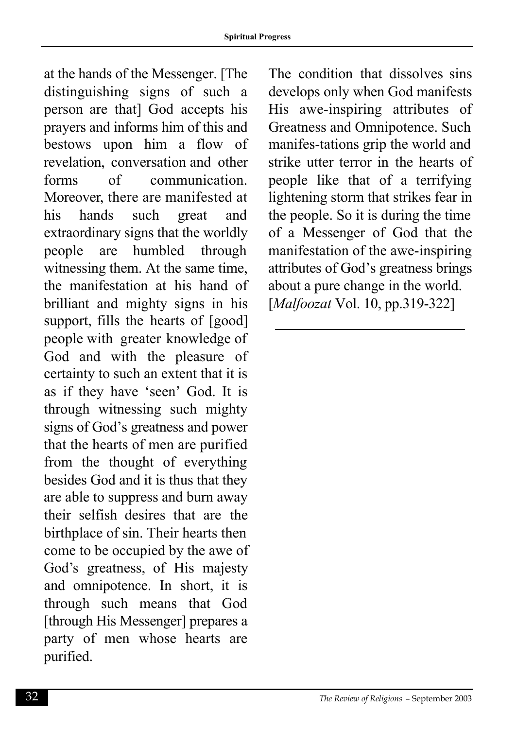at the hands of the Messenger. [The distinguishing signs of such a person are that] God accepts his prayers and informs him of this and bestows upon him a flow of revelation, conversation and other forms of communication. Moreover, there are manifested at his hands such great and extraordinary signs that the worldly people are humbled through witnessing them. At the same time, the manifestation at his hand of brilliant and mighty signs in his support, fills the hearts of [good] people with greater knowledge of God and with the pleasure of certainty to such an extent that it is as if they have 'seen' God. It is through witnessing such mighty signs of God's greatness and power that the hearts of men are purified from the thought of everything besides God and it is thus that they are able to suppress and burn away their selfish desires that are the birthplace of sin. Their hearts then come to be occupied by the awe of God's greatness, of His majesty and omnipotence. In short, it is through such means that God [through His Messenger] prepares a party of men whose hearts are purified.

The condition that dissolves sins develops only when God manifests His awe-inspiring attributes of Greatness and Omnipotence. Such manifes-tations grip the world and strike utter terror in the hearts of people like that of a terrifying lightening storm that strikes fear in the people. So it is during the time of a Messenger of God that the manifestation of the awe-inspiring attributes of God's greatness brings about a pure change in the world. [*Malfoozat* Vol. 10, pp.319-322]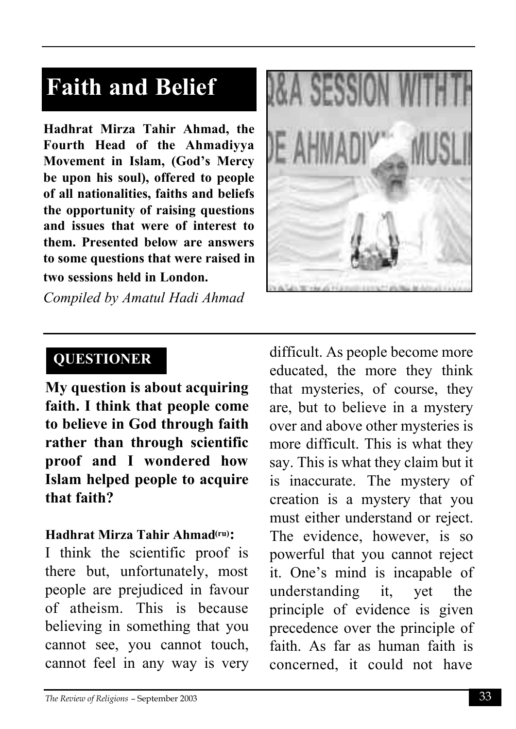### **Faith and Belief**

**Hadhrat Mirza Tahir Ahmad, the** Fourth Head of the Ahmadiyya **Movement in Islam, (God's Mercy be upon his soul), offered to people of all nationalities, faiths and beliefs the opportunity of raising questions and issues that were of interest to them. Presented below are answers to some questions that were raised in two sessions held in London.** 

*Compiled by Amatul Hadi Ahmad*



### **QUESTIONER**

**My question is about acquiring faith. I think that people come to believe in God through faith rather than through scientific p roof and I wondered how Islam helped people to acquire that faith?**

### **Hadhrat Mirza Tahir Ahmad(ru):**

I think the scientific proof is there but, unfortunately, most people are prejudiced in favour of atheism. This is because believing in something that you cannot see, you cannot touch, cannot feel in any way is very difficult. As people become more educated, the more they think that mysteries, of course, they are, but to believe in a mystery over and above other mysteries is more difficult. This is what they say. This is what they claim but it is inaccurate. The mystery of creation is a mystery that you must either understand or reject. The evidence, however, is so powerful that you cannot reject it. One's mind is incapable of understanding it, yet the principle of evidence is given precedence over the principle of faith. As far as human faith is concerned, it could not have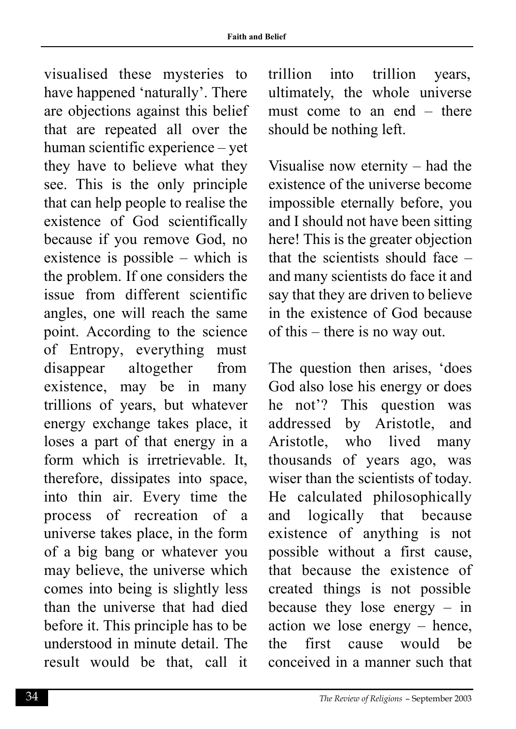visualised these mysteries to have happened 'naturally'. There are objections against this belief that are repeated all over the human scientific experience – yet they have to believe what they see. This is the only principle that can help people to realise the existence of God scientifically because if you remove God, no existence is possible – which is the problem. If one considers the issue from different scientific angles, one will reach the same point. According to the science of Entropy, everything must disappear altogether from existence, may be in many trillions of years, but whatever energy exchange takes place, it loses a part of that energy in a form which is irretrievable. It, therefore, dissipates into space, into thin air. Every time the process of recreation of a universe takes place, in the form of a big bang or whatever you may believe, the universe which comes into being is slightly less than the universe that had died before it. This principle has to be understood in minute detail. The result would be that, call it

trillion into trillion years, ultimately, the whole universe must come to an end – there should be nothing left.

Visualise now eternity – had the existence of the universe become impossible eternally before, you and I should not have been sitting here! This is the greater objection that the scientists should face – and many scientists do face it and say that they are driven to believe in the existence of God because of this – there is no way out.

The question then arises, 'does God also lose his energy or does he not'? This question was addressed by Aristotle, and Aristotle, who lived many thousands of years ago, was wiser than the scientists of today. He calculated philosophically and logically that because existence of anything is not possible without a first cause, that because the existence of created things is not possible because they lose energy – in action we lose energy – hence, the first cause would be conceived in a manner such that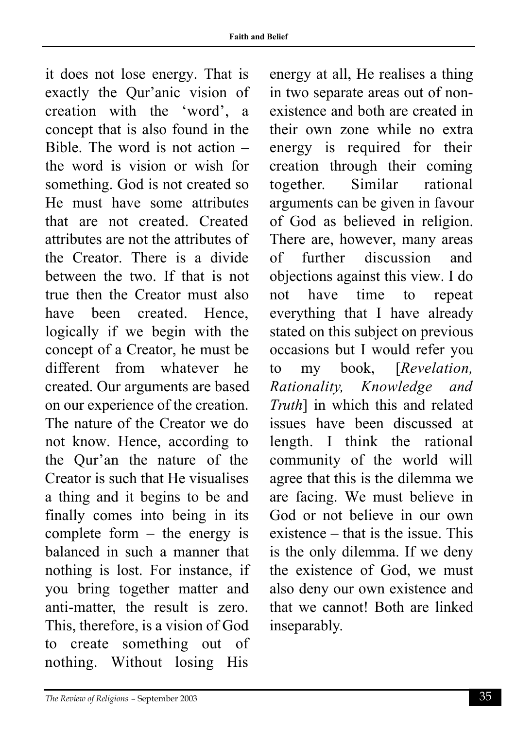it does not lose energy. That is exactly the Qur'anic vision of creation with the 'word', a concept that is also found in the Bible. The word is not action – the word is vision or wish for something. God is not created so He must have some attributes that are not created. Created attributes are not the attributes of the Creator. There is a divide between the two. If that is not true then the Creator must also have been created. Hence, logically if we begin with the concept of a Creator, he must be different from whatever he created. Our arguments are based on our experience of the creation. The nature of the Creator we do not know. Hence, according to the Qur'an the nature of the Creator is such that He visualises a thing and it begins to be and finally comes into being in its complete form – the energy is balanced in such a manner that nothing is lost. For instance, if you bring together matter and anti-matter, the result is zero. This, therefore, is a vision of God to create something out of nothing. Without losing His

energy at all, He realises a thing in two separate areas out of nonexistence and both are created in their own zone while no extra energy is required for their creation through their coming together. Similar rational arguments can be given in favour of God as believed in religion. There are, however, many areas of further discussion and objections against this view. I do not have time to repeat everything that I have already stated on this subject on previous occasions but I would refer you to my book, *[Revelation*, *Rationality, Knowledge and Truth*] in which this and related issues have been discussed at length. I think the rational community of the world will agree that this is the dilemma we are facing. We must believe in God or not believe in our own existence – that is the issue. This is the only dilemma. If we deny the existence of God, we must also deny our own existence and that we cannot! Both are linked inseparably.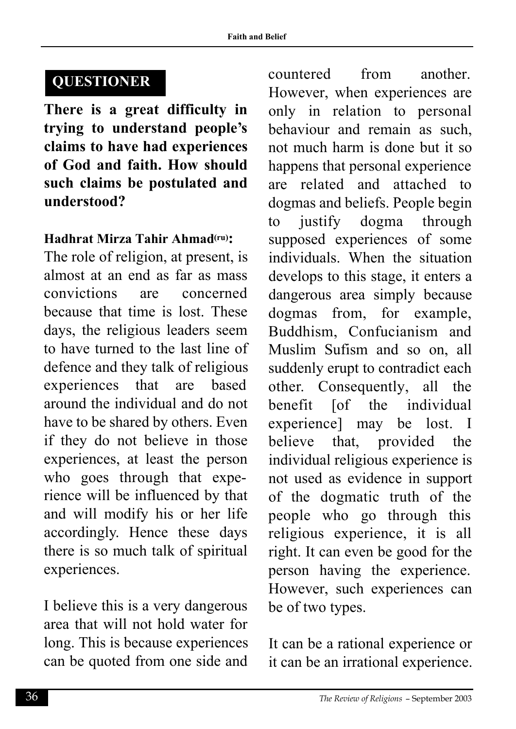### **QUESTIONER**

**There is a great difficulty in trying to understand people's claims to have had experiences of God and faith. How should such claims be postulated and understood?**

### **Hadhrat Mirza Tahir Ahmad(ru):**

The role of religion, at present, is almost at an end as far as mass convictions are concerned because that time is lost. These days, the religious leaders seem to have turned to the last line of defence and they talk of religious experiences that are based around the individual and do not have to be shared by others. Even if they do not believe in those experiences, at least the person who goes through that experience will be influenced by that and will modify his or her life accordingly. Hence these days there is so much talk of spiritual experiences.

I believe this is a very dangerous area that will not hold water for long. This is because experiences can be quoted from one side and countered from another. However, when experiences are only in relation to personal behaviour and remain as such, not much harm is done but it so happens that personal experience are related and attached to dogmas and beliefs. People begin to justify dogma through supposed experiences of some individuals. When the situation develops to this stage, it enters a dangerous area simply because dogmas from, for example, Buddhism, Confucianism and Muslim Sufism and so on, all suddenly erupt to contradict each other. Consequently, all the benefit [of the individual experience] may be lost. I believe that, provided the individual religious experience is not used as evidence in support of the dogmatic truth of the people who go through this religious experience, it is all right. It can even be good for the person having the experience. However, such experiences can be of two types.

It can be a rational experience or it can be an irrational experience.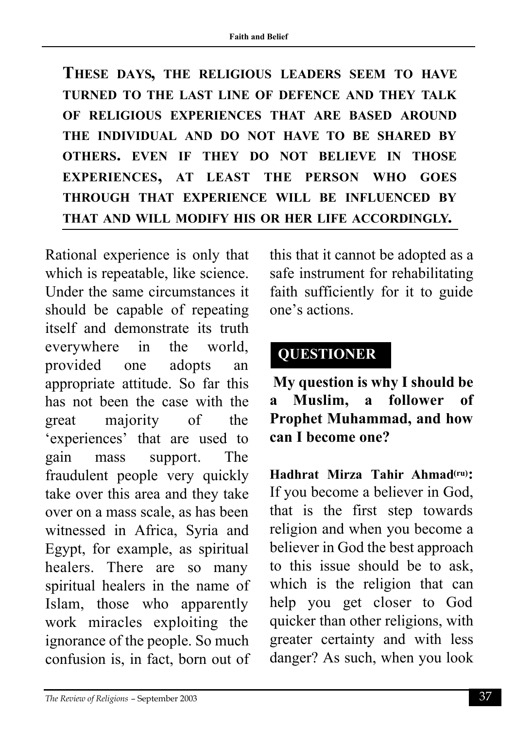**THESE DAYS, THE RELIGIOUS LEADERS SEEM TO HAVE TURNED TO THE LAST LINE OF DEFENCE AND THEY TALK OF RELIGIOUS EXPERIENCES THAT ARE BASED AROUND THE INDIVIDUAL AND DO NOT HAVE TO BE SHARED BY OTHERS. EVEN IF THEY DO NOT BELIEVE IN THOSE EXPERIENCES, AT LEAST THE PERSON WHO GOES THROUGH THAT EXPERIENCE WILL BE INFLUENCED BY THAT AND WILL MODIFY HIS OR HER LIFE ACCORDINGLY.**

Rational experience is only that which is repeatable, like science. Under the same circumstances it should be capable of repeating itself and demonstrate its truth everywhere in the world, provided one adopts an appropriate attitude. So far this has not been the case with the great majority of the 'experiences' that are used to gain mass support. The fraudulent people very quickly take over this area and they take over on a mass scale, as has been witnessed in Africa, Syria and Egypt, for example, as spiritual healers. There are so many spiritual healers in the name of Islam, those who apparently work miracles exploiting the ignorance of the people. So much confusion is, in fact, born out of this that it cannot be adopted as a safe instrument for rehabilitating faith sufficiently for it to guide one's actions.

### **QUESTIONER**

**My question is why I should be a Muslim, a follower of Prophet Muhammad, and how can I become one?**

**Hadhrat Mirza Tahir Ahmad**(ru): If you become a believer in God, that is the first step towards religion and when you become a believer in God the best approach to this issue should be to ask, which is the religion that can help you get closer to God quicker than other religions, with greater certainty and with less danger? As such, when you look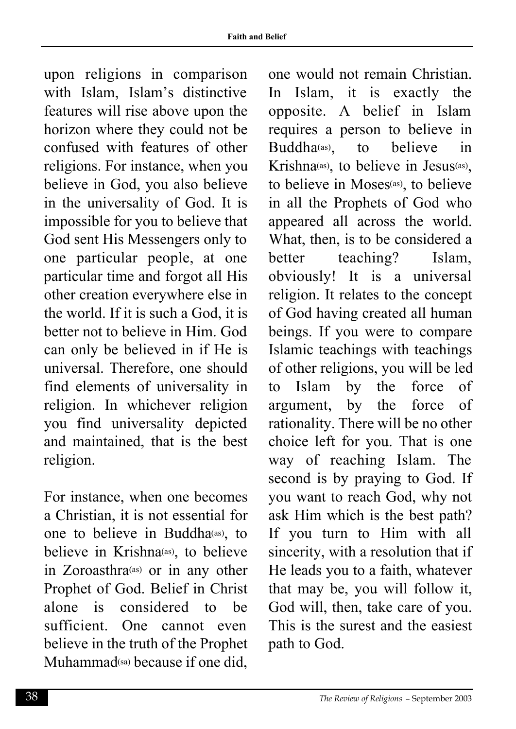upon religions in comparison with Islam, Islam's distinctive features will rise above upon the horizon where they could not be confused with features of other religions. For instance, when you believe in God, you also believe in the universality of God. It is impossible for you to believe that God sent His Messengers only to one particular people, at one particular time and forgot all His other creation everywhere else in the world. If it is such a God, it is better not to believe in Him. God can only be believed in if He is universal. Therefore, one should find elements of universality in religion. In whichever religion you find universality depicted and maintained, that is the best religion.

For instance, when one becomes a Christian, it is not essential for one to believe in Buddha(as), to believe in Krishna(as), to believe in Zoroasthra<sup>(as)</sup> or in any other Prophet of God. Belief in Christ alone is considered to be sufficient. One cannot even believe in the truth of the Prophet Muhammad(sa) because if one did, one would not remain Christian. In Islam, it is exactly the opposite. A belief in Islam requires a person to believe in Buddha(as), to believe in Krishna(as), to believe in Jesus(as), to believe in Moses(as), to believe in all the Prophets of God who appeared all across the world. What, then, is to be considered a better teaching? Islam, obviously! It is a universal religion. It relates to the concept of God having created all human beings. If you were to compare Islamic teachings with teachings of other religions, you will be led to Islam by the force of argument, by the force of rationality. There will be no other choice left for you. That is one way of reaching Islam. The second is by praying to God. If you want to reach God, why not ask Him which is the best path? If you turn to Him with all sincerity, with a resolution that if He leads you to a faith, whatever that may be, you will follow it, God will, then, take care of you. This is the surest and the easiest path to God.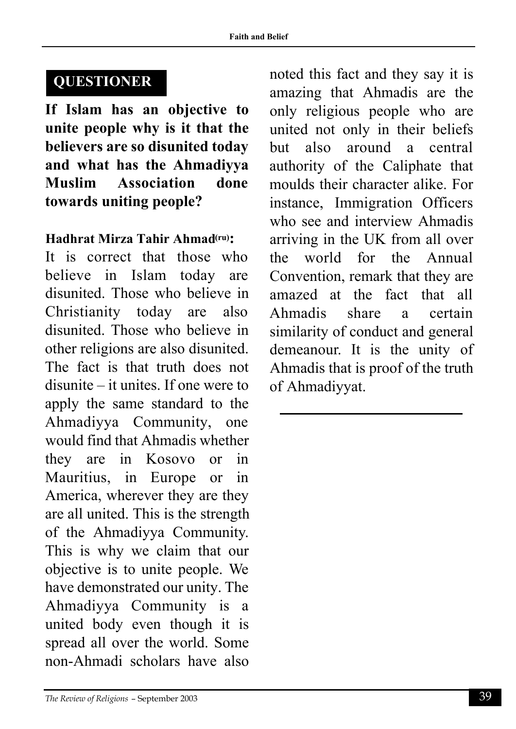### **QUESTIONER**

**If Islam has an objective to unite people why is it that the believers are so disunited today and what has the Ahmadiyya Muslim Association done towards uniting people?**

#### **Hadhrat Mirza Tahir Ahmad(ru):**

It is correct that those who believe in Islam today are disunited. Those who believe in Christianity today are also disunited. Those who believe in other religions are also disunited. The fact is that truth does not disunite – it unites. If one were to apply the same standard to the Ahmadiyya Community, one would find that Ahmadis whether they are in Kosovo or in Mauritius, in Europe or in America, wherever they are they are all united. This is the strength of the Ahmadiyya Community. This is why we claim that our objective is to unite people. We have demonstrated our unity. The Ahmadiyya Community is a united body even though it is spread all over the world. Some non-Ahmadi scholars have also

noted this fact and they say it is amazing that Ahmadis are the only religious people who are united not only in their beliefs but also around a central authority of the Caliphate that moulds their character alike. For instance. Immigration Officers who see and interview Ahmadis arriving in the UK from all over the world for the Annual Convention, remark that they are amazed at the fact that all Ahmadis share a certain similarity of conduct and general demeanour. It is the unity of Ahmadis that is proof of the truth of Ahmadiyyat.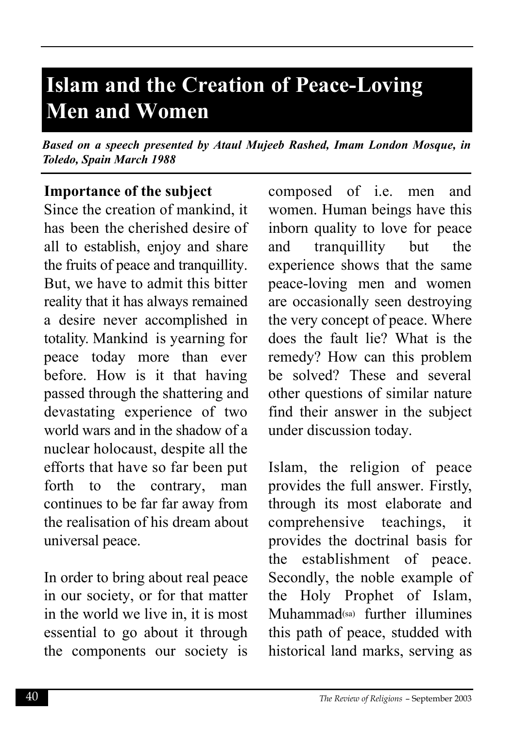### **Islam and the Creation of Peace-Loving Men and Women**

*Based on a speech presented by Ataul Mujeeb Rashed, Imam London Mosque, in Toledo, Spain March 1988*

**Importance of the subject**

Since the creation of mankind, it has been the cherished desire of all to establish, enjoy and share the fruits of peace and tranquillity. But, we have to admit this bitter reality that it has always remained a desire never accomplished in totality. Mankind is yearning for peace today more than ever before. How is it that having passed through the shattering and devastating experience of two world wars and in the shadow of a nuclear holocaust, despite all the e fforts that have so far been put forth to the contrary, man continues to be far far away from the realisation of his dream about universal peace.

In order to bring about real peace in our society, or for that matter in the world we live in, it is most essential to go about it through the components our society is composed of i.e. men and women. Human beings have this inborn quality to love for peace and tranquillity but the experience shows that the same peace-loving men and women are occasionally seen destroying the very concept of peace. Where does the fault lie? What is the remedy? How can this problem be solved? These and several other questions of similar nature find their answer in the subject under discussion today.

Islam, the religion of peace provides the full answer. Firstly, through its most elaborate and comprehensive teachings, it provides the doctrinal basis for the establishment of peace. Secondly, the noble example of the Holy Prophet of Islam, Muhammad(sa) further illumines this path of peace, studded with historical land marks, serving as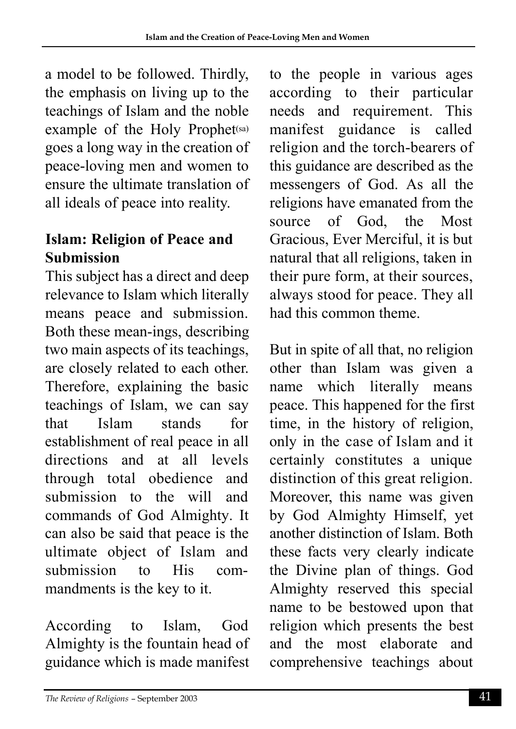a model to be followed. Thirdly, the emphasis on living up to the teachings of Islam and the noble example of the Holy Prophet(sa) goes a long way in the creation of peace-loving men and women to ensure the ultimate translation of all ideals of peace into reality.

### **Islam: Religion of Peace and Submission**

This subject has a direct and deep relevance to Islam which literally means peace and submission. Both these mean-ings, describing two main aspects of its teachings, are closely related to each other. Therefore, explaining the basic teachings of Islam, we can say that Islam stands for establishment of real peace in all directions and at all levels through total obedience and submission to the will and commands of God Almighty. It can also be said that peace is the ultimate object of Islam and submission to His commandments is the key to it.

According to Islam, God Almighty is the fountain head of guidance which is made manifest

to the people in various ages according to their particular needs and requirement. This manifest guidance is called religion and the torch-bearers of this guidance are described as the messengers of God. As all the religions have emanated from the source of God, the Most Gracious, Ever Merciful, it is but natural that all religions, taken in their pure form, at their sources, always stood for peace. They all had this common theme.

But in spite of all that, no religion other than Islam was given a name which literally means peace. This happened for the first time, in the history of religion, only in the case of Islam and it certainly constitutes a unique distinction of this great religion. Moreover, this name was given by God Almighty Himself, yet another distinction of Islam. Both these facts very clearly indicate the Divine plan of things. God Almighty reserved this special name to be bestowed upon that religion which presents the best and the most elaborate and comprehensive teachings about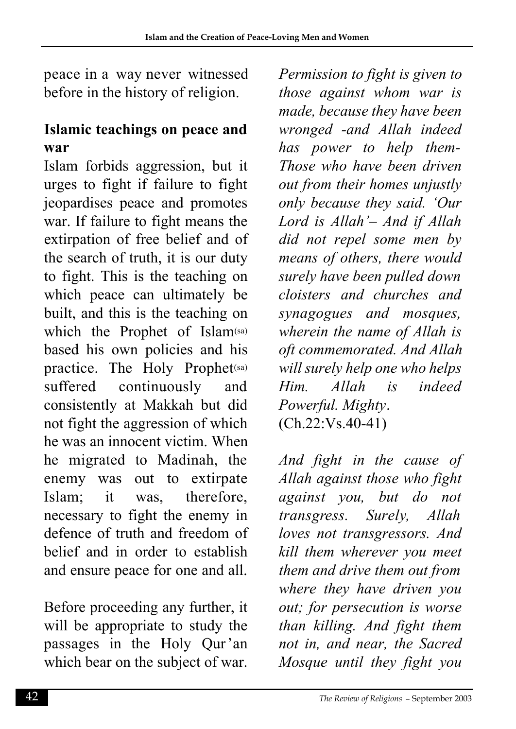peace in a way never witnessed before in the history of religion.

### **Islamic teachings on peace and war**

Islam forbids aggression, but it urges to fight if failure to fight jeopardises peace and promotes war. If failure to fight means the extirpation of free belief and of the search of truth, it is our duty to fight. This is the teaching on which peace can ultimately be built, and this is the teaching on which the Prophet of Islam(sa) based his own policies and his practice. The Holy Prophet<sup>(sa)</sup> suffered continuously and consistently at Makkah but did not fight the aggression of which he was an innocent victim. When he migrated to Madinah, the enemy was out to extirpate Islam; it was, therefore, necessary to fight the enemy in defence of truth and freedom of belief and in order to establish and ensure peace for one and all.

Before proceeding any further, it will be appropriate to study the passages in the Holy Qur'an which bear on the subject of war. *Permission to fight is given to those against whom war is made, because they have been wronged -and Allah indeed has power to help them-Those who have been driven out from their homes unjustly only because they said. 'Our Lord is Allah'– And if Allah did not repel some men by means of others, there would surely have been pulled down cloisters and churches and synagogues and mosques, wherein the name of Allah is oft commemorated. And Allah will surely help one who helps Him. Allah is indeed Powerful. Mighty*. (Ch.22:Vs.40-41)

*And fight in the cause of Allah against those who fight against you, but do not transgress. Surely, Allah loves not transgressors. And kill them wherever you meet them and drive them out from where they have driven you out; for persecution is worse than killing. And fight them not in, and near, the Sacred Mosque until they fight you*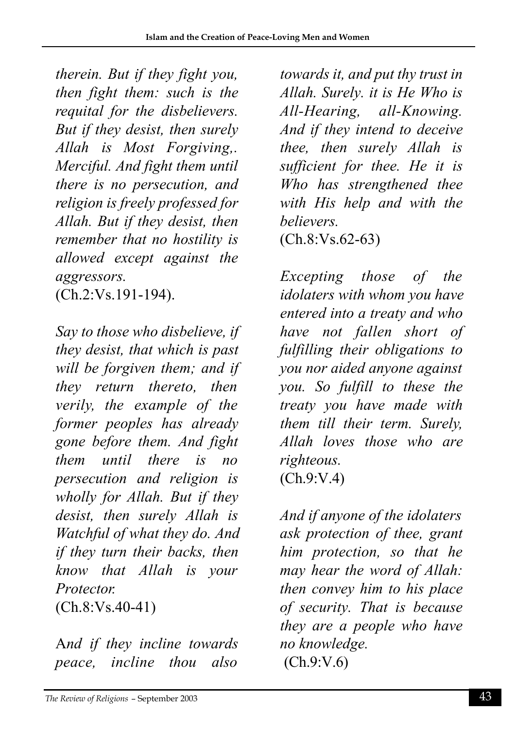*therein. But if they fight you, then fight them: such is the requital for the disbelievers. But if they desist, then surely Allah is Most Forgiving,. Merciful. And fight them until there is no persecution, and religion is freely professed for Allah. But if they desist, then remember that no hostility is allowed except against the aggressors.*

(Ch.2:Vs.191-194).

*Say to those who disbelieve, if they desist, that which is past will be forgiven them; and if they return thereto, then verily, the example of the former peoples has already gone before them. And fight them until there is no persecution and religion is wholly for Allah. But if they desist, then surely Allah is Watchful of what they do. And if they turn their backs, then know that Allah is your Protector.* (Ch.8:Vs.40-41)

A*nd if they incline towards peace, incline thou also*

*towards it, and put thy trust in Allah. Surely. it is He Who is All-Hearing, all-Knowing. And if they intend to deceive thee, then surely Allah is sufficient for thee. He it is Who has strengthened thee with His help and with the believers.* (Ch.8:Vs.62-63)

*Excepting those of the idolaters with whom you have entered into a treaty and who have not fallen short of fulfilling their obligations to you nor aided anyone against you. So fulfill to these the treaty you have made with them till their term. Surely, Allah loves those who are righteous.* (Ch.9:V.4)

*And if anyone of the idolaters ask protection of thee, grant him protection, so that he may hear the word of Allah: then convey him to his place of security. That is because they are a people who have no knowledge.* (Ch.9:V.6)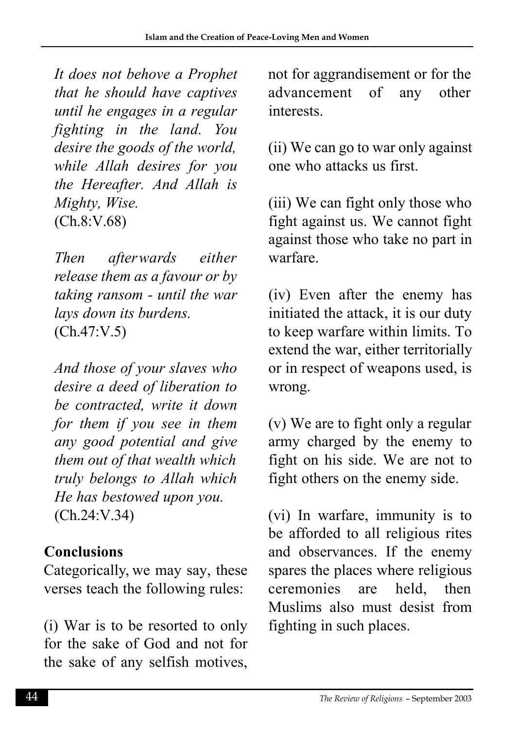*It does not behove a Prophet that he should have captives until he engages in a regular fighting in the land. You desire the goods of the world, while Allah desires for you the Hereafter. And Allah is Mighty, Wise.* (Ch.8:V.68)

*Then afterwards either release them as a favour or by taking ransom - until the war lays down its burdens.* (Ch.47:V.5)

*And those of your slaves who desire a deed of liberation to be contracted, write it down for them if you see in them any good potential and give them out of that wealth which truly belongs to Allah which He has bestowed upon you.*  (Ch.24:V.34)

### **Conclusions**

Categorically, we may say, these verses teach the following rules:

(i) War is to be resorted to only for the sake of God and not for the sake of any selfish motives, not for aggrandisement or for the advancement of any other interests.

(ii) We can go to war only against one who attacks us first.

(iii) We can fight only those who fight against us. We cannot fight against those who take no part in warfare.

(iv) Even after the enemy has initiated the attack, it is our duty to keep warfare within limits. To extend the war, either territorially or in respect of weapons used, is wrong.

(v) We are to fight only a regular army charged by the enemy to fight on his side. We are not to fight others on the enemy side.

(vi) In warfare, immunity is to be afforded to all religious rites and observances. If the enemy spares the places where religious ceremonies are held, then Muslims also must desist from fighting in such places.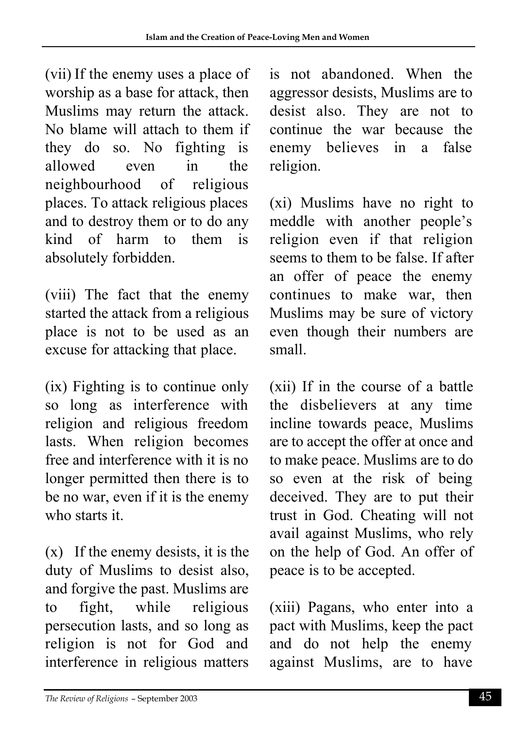(vii) If the enemy uses a place of worship as a base for attack, then Muslims may return the attack. No blame will attach to them if they do so. No fighting is allowed even in the neighbourhood of religious places. To attack religious places and to destroy them or to do any kind of harm to them is absolutely forbidden.

(viii) The fact that the enemy started the attack from a religious place is not to be used as an excuse for attacking that place.

(ix) Fighting is to continue only so long as interference with religion and religious freedom lasts. When religion becomes free and interference with it is no longer permitted then there is to be no war, even if it is the enemy who starts it.

(x) If the enemy desists, it is the duty of Muslims to desist also, and forgive the past. Muslims are to fight, while religious persecution lasts, and so long as religion is not for God and interference in religious matters

is not abandoned. When the aggressor desists, Muslims are to desist also. They are not to continue the war because the enemy believes in a false religion.

(xi) Muslims have no right to meddle with another people's religion even if that religion seems to them to be false. If after an offer of peace the enemy continues to make war, then Muslims may be sure of victory even though their numbers are small.

(xii) If in the course of a battle the disbelievers at any time incline towards peace, Muslims are to accept the offer at once and to make peace. Muslims are to do so even at the risk of being deceived. They are to put their trust in God. Cheating will not avail against Muslims, who rely on the help of God. An offer of peace is to be accepted.

(xiii) Pagans, who enter into a pact with Muslims, keep the pact and do not help the enemy against Muslims, are to have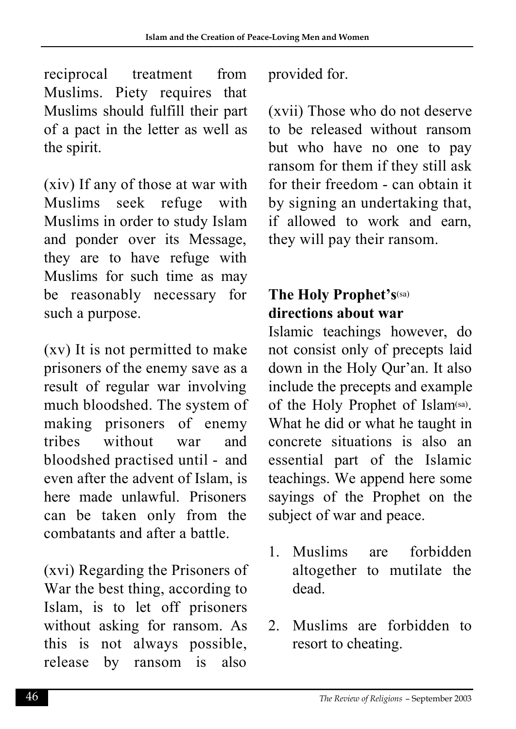reciprocal treatment from Muslims. Piety requires that Muslims should fulfill their part of a pact in the letter as well as the spirit.

(xiv) If any of those at war with Muslims seek refuge with Muslims in order to study Islam and ponder over its Message, they are to have refuge with Muslims for such time as may be reasonably necessary for such a purpose.

(xv) It is not permitted to make prisoners of the enemy save as a result of regular war involving much bloodshed. The system of making prisoners of enemy tribes without war and bloodshed practised until - and even after the advent of Islam, is here made unlawful. Prisoners can be taken only from the combatants and after a battle.

(xvi) Regarding the Prisoners of War the best thing, according to Islam, is to let off prisoners without asking for ransom. As this is not always possible, release by ransom is also

provided for.

(xvii) Those who do not deserve to be released without ransom but who have no one to pay ransom for them if they still ask for their freedom - can obtain it by signing an undertaking that, if allowed to work and earn, they will pay their ransom.

### **The Holy Prophet's**(sa) **directions about war**

Islamic teachings however, do not consist only of precepts laid down in the Holy Qur'an. It also include the precepts and example of the Holy Prophet of Islam(sa). What he did or what he taught in concrete situations is also an essential part of the Islamic teachings. We append here some sayings of the Prophet on the subject of war and peace.

- 1. Muslims are forbidden altogether to mutilate the dead.
- 2. Muslims are forbidden to resort to cheating.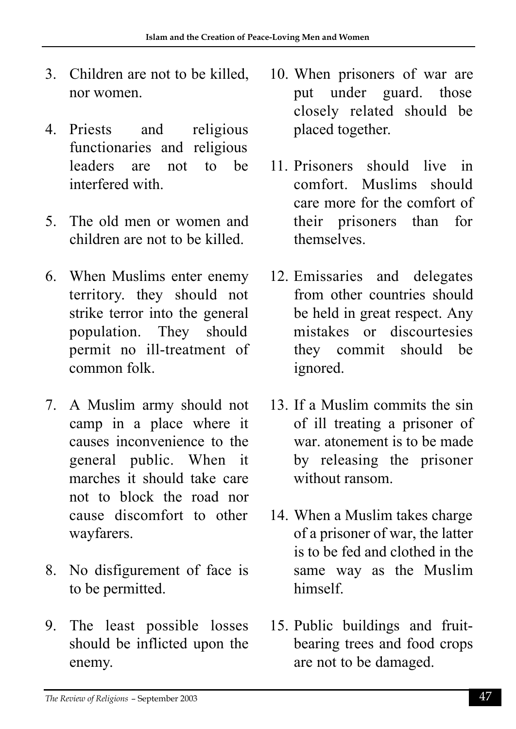- 3. Children are not to be killed, nor women.
- 4. Priests and religious functionaries and religious leaders are not to be interfered with.
- 5. The old men or women and children are not to be killed.
- 6. When Muslims enter enemy territory. they should not strike terror into the general population. They should permit no ill-treatment of common folk.
- 7. A Muslim army should not camp in a place where it causes inconvenience to the general public. When it marches it should take care not to block the road nor cause discomfort to other wayfarers.
- 8. No disfigurement of face is to be permitted.
- 9. The least possible losses should be inflicted upon the enemy.
- 10. When prisoners of war are put under guard. those closely related should be placed together.
- 11. Prisoners should live in comfort. Muslims should care more for the comfort of their prisoners than for themselves.
- 12. Emissaries and delegates from other countries should be held in great respect. Any mistakes or discourtesies they commit should be ignored.
- 13. If a Muslim commits the sin of ill treating a prisoner of war. atonement is to be made by releasing the prisoner without ransom.
- 14. When a Muslim takes charge of a prisoner of war, the latter is to be fed and clothed in the same way as the Muslim himself.
- 15. Public buildings and fruitbearing trees and food crops are not to be damaged.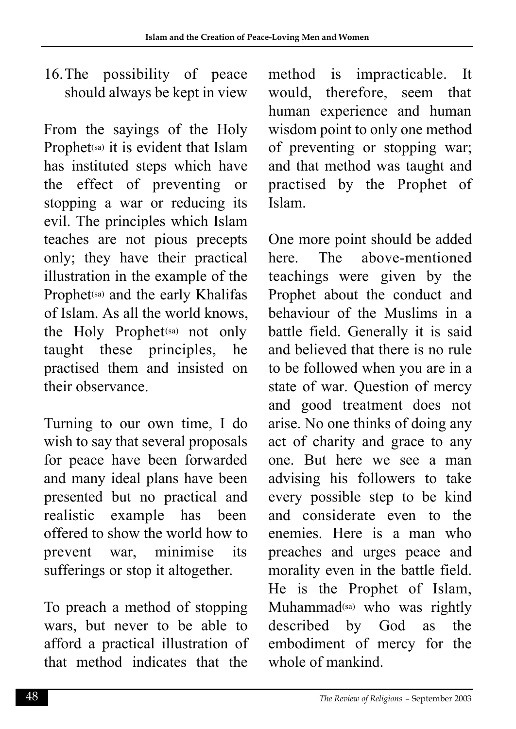16.The possibility of peace should always be kept in view

From the sayings of the Holy Prophet<sup>(sa)</sup> it is evident that Islam has instituted steps which have the effect of preventing or stopping a war or reducing its evil. The principles which Islam teaches are not pious precepts only; they have their practical illustration in the example of the Prophet<sup>(sa)</sup> and the early Khalifas of Islam. As all the world knows, the Holy Prophet<sup>(sa)</sup> not only taught these principles, he practised them and insisted on their observance.

Turning to our own time, I do wish to say that several proposals for peace have been forwarded and many ideal plans have been presented but no practical and realistic example has been offered to show the world how to prevent war, minimise its sufferings or stop it altogether.

To preach a method of stopping wars, but never to be able to afford a practical illustration of that method indicates that the

method is impracticable. It would, therefore, seem that human experience and human wisdom point to only one method of preventing or stopping war; and that method was taught and practised by the Prophet of Islam.

One more point should be added here. The above-mentioned teachings were given by the Prophet about the conduct and behaviour of the Muslims in a battle field. Generally it is said and believed that there is no rule to be followed when you are in a state of war. Question of mercy and good treatment does not arise. No one thinks of doing any act of charity and grace to any one. But here we see a man advising his followers to take every possible step to be kind and considerate even to the enemies. Here is a man who preaches and urges peace and morality even in the battle field. He is the Prophet of Islam, Muhammad<sup>(sa)</sup> who was rightly described by God as the embodiment of mercy for the whole of mankind.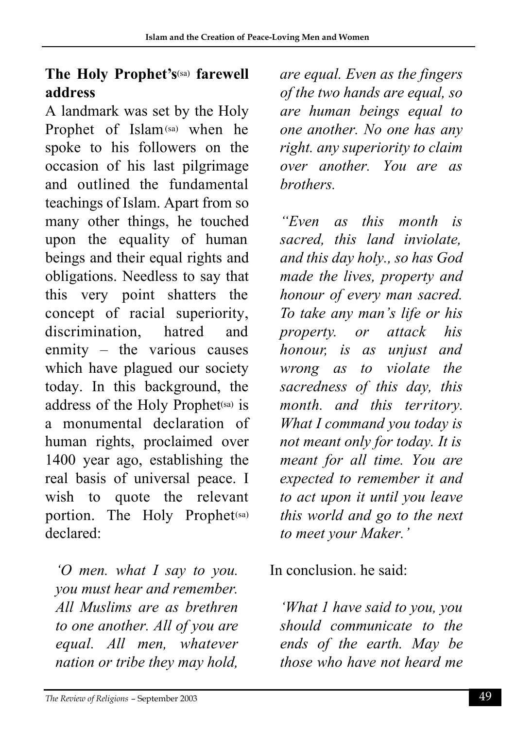### **The Holy Prophet's**(sa) **farewell address**

A landmark was set by the Holy Prophet of Islam(sa) when he spoke to his followers on the occasion of his last pilgrimage and outlined the fundamental teachings of Islam. Apart from so many other things, he touched upon the equality of human beings and their equal rights and obligations. Needless to say that this very point shatters the concept of racial superiority, discrimination hatred and enmity – the various causes which have plagued our society today. In this background, the address of the Holy Prophet<sup>(sa)</sup> is a monumental declaration of human rights, proclaimed over 1400 year ago, establishing the real basis of universal peace. I wish to quote the relevant portion. The Holy Prophet(sa) declared:

*'O men. what I say to you. you must hear and remember. All Muslims are as brethren to one another. All of you are equal. All men, whatever nation or tribe they may hold,*

*are equal. Even as the fingers of the two hands are equal, so are human beings equal to one another. No one has any right. any superiority to claim over another. You are as brothers.*

*"Even as this month is s a c red, this land inviolate, and this day holy., so has God made the lives, property and honour of every man sacred. To take any man's life or his property. or attack his honour, is as unjust and w rong as to violate the sacredness of this day, this month. and this territory. What I command you today is not meant only for today. It is meant for all time. You are expected to remember it and to act upon it until you leave this world and go to the next to meet your Maker.'*

In conclusion. he said:

*'What 1 have said to you, you should communicate to the ends of the earth. May be those who have not heard me*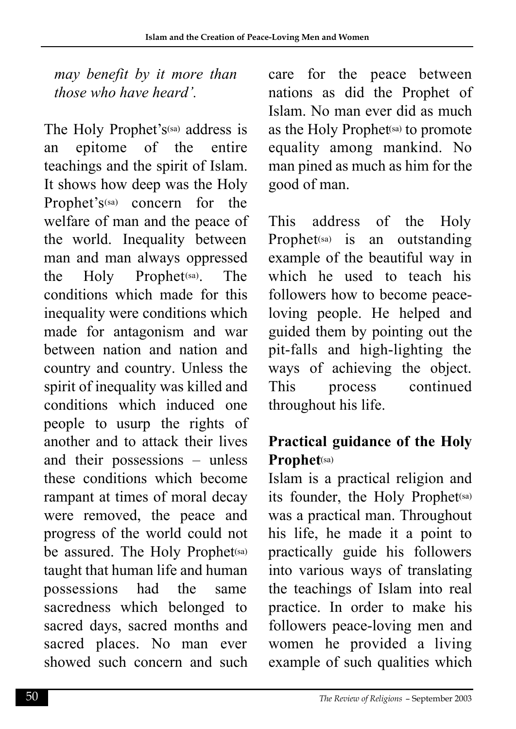*may benefit by it more than those who have heard'.*

The Holy Prophet's(sa) address is an epitome of the entire teachings and the spirit of Islam. It shows how deep was the Holy Prophet's $(sa)$  concern for the welfare of man and the peace of the world. Inequality between man and man always oppressed the Holy Prophet<sup>(sa)</sup>. The conditions which made for this inequality were conditions which made for antagonism and war between nation and nation and country and country. Unless the spirit of inequality was killed and conditions which induced one people to usurp the rights of another and to attack their lives and their possessions – unless these conditions which become rampant at times of moral decay were removed, the peace and progress of the world could not be assured. The Holy Prophet(sa) taught that human life and human possessions had the same sacredness which belonged to sacred days, sacred months and sacred places. No man ever showed such concern and such

care for the peace between nations as did the Prophet of Islam. No man ever did as much as the Holy Prophet(sa) to promote equality among mankind. No man pined as much as him for the good of man.

This address of the Holy Prophet $(s_a)$  is an outstanding example of the beautiful way in which he used to teach his followers how to become peaceloving people. He helped and guided them by pointing out the pit-falls and high-lighting the ways of achieving the object. This process continued throughout his life.

### **Practical guidance of the Holy Prophet**(sa)

Islam is a practical religion and its founder, the Holy Prophet<sup>(sa)</sup> was a practical man. Throughout his life, he made it a point to practically guide his followers into various ways of translating the teachings of Islam into real practice. In order to make his followers peace-loving men and women he provided a living example of such qualities which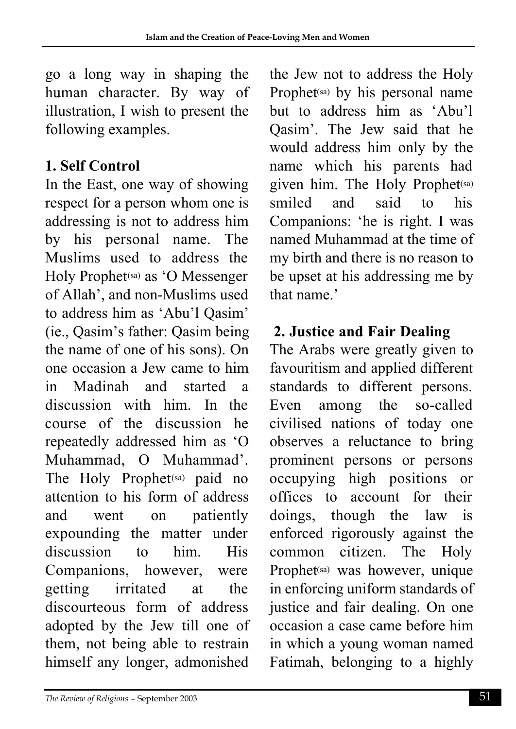go a long way in shaping the human character. By way of illustration, I wish to present the following examples.

### **1. Self Control**

In the East, one way of showing respect for a person whom one is addressing is not to address him by his personal name. The Muslims used to address the Holy Prophet(sa) as 'O Messenger of Allah', and non-Muslims used to address him as 'Abu'l Qasim' (ie., Qasim's father: Qasim being the name of one of his sons). On one occasion a Jew came to him in Madinah and started a discussion with him. In the course of the discussion he repeatedly addressed him as 'O Muhammad, O Muhammad'. The Holy Prophet<sup>(sa)</sup> paid no attention to his form of address and went on patiently expounding the matter under discussion to him. His Companions, however, were getting irritated at the discourteous form of address adopted by the Jew till one of them, not being able to restrain himself any longer, admonished

the Jew not to address the Holy Prophet<sup>(sa)</sup> by his personal name but to address him as 'Abu'l Qasim'. The Jew said that he would address him only by the name which his parents had given him. The Holy Prophet(sa) smiled and said to his Companions: 'he is right. I was named Muhammad at the time of my birth and there is no reason to be upset at his addressing me by that name.'

### **2. Justice and Fair Dealing**

The Arabs were greatly given to favouritism and applied different standards to different persons. Even among the so-called civilised nations of today one observes a reluctance to bring prominent persons or persons occupying high positions or o ffices to account for their doings, though the law is enforced rigorously against the common citizen. The Holy Prophet<sup>(sa)</sup> was however, unique in enforcing uniform standards of justice and fair dealing. On one occasion a case came before him in which a young woman named Fatimah, belonging to a highly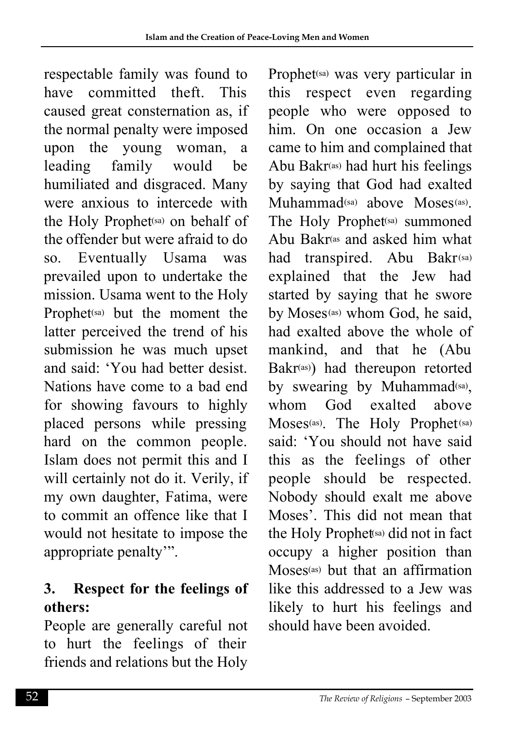respectable family was found to have committed theft. This caused great consternation as, if the normal penalty were imposed upon the young woman, a leading family would be humiliated and disgraced. Many were anxious to intercede with the Holy Prophet<sup>(sa)</sup> on behalf of the offender but were afraid to do so. Eventually Usama was prevailed upon to undertake the mission. Usama went to the Holy Prophet<sup>(sa)</sup> but the moment the latter perceived the trend of his submission he was much upset and said: 'You had better desist. Nations have come to a bad end for showing favours to highly placed persons while pressing hard on the common people. Islam does not permit this and I will certainly not do it. Verily, if my own daughter, Fatima, were to commit an offence like that I would not hesitate to impose the appropriate penalty'".

### **3. Respect for the feelings of others:**

People are generally careful not to hurt the feelings of their friends and relations but the Holy Prophet<sup>(sa)</sup> was very particular in this respect even regarding people who were opposed to him. On one occasion a Jew came to him and complained that Abu Bakr(as) had hurt his feelings by saying that God had exalted  $Muhammad<sub>(sa)</sub> above, Moses<sub>(as)</sub>$ . The Holy Prophet<sup>(sa)</sup> summoned Abu Bakr(as and asked him what had transpired. Abu Bakr(sa) explained that the Jew had started by saying that he swore by Moses(as) whom God, he said, had exalted above the whole of mankind, and that he (Abu Bakr(as)) had thereupon retorted by swearing by Muhammad(sa), whom God exalted above Moses<sup>(as)</sup>. The Holy Prophet<sup>(sa)</sup> said: 'You should not have said this as the feelings of other people should be respected. Nobody should exalt me above Moses'. This did not mean that the Holy Prophet<sup>(sa)</sup> did not in fact occupy a higher position than Moses(as) but that an affirmation like this addressed to a Jew was likely to hurt his feelings and should have been avoided.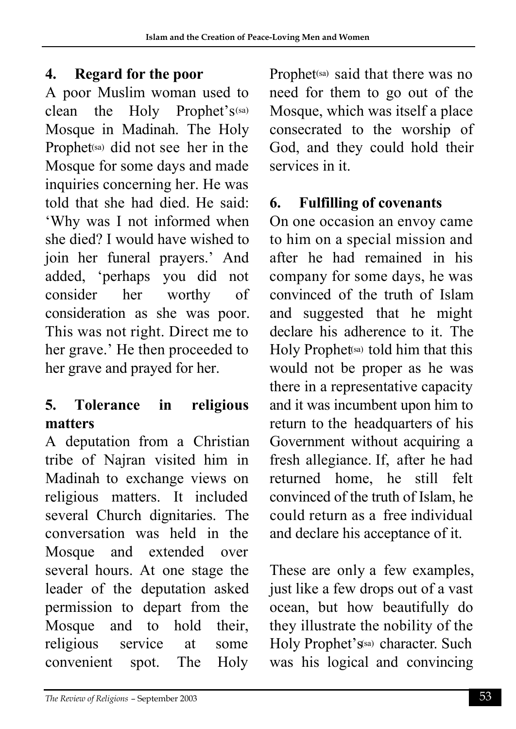### **4 . Regard for the poor**

A poor Muslim woman used to clean the Holy Prophet's(sa) Mosque in Madinah. The Holy Prophet<sup>(sa)</sup> did not see her in the Mosque for some days and made inquiries concerning her. He was told that she had died. He said: 'Why was I not informed when she died? I would have wished to join her funeral prayers.' And added, 'perhaps you did not consider her worthy of consideration as she was poor. This was not right. Direct me to her grave.' He then proceeded to her grave and prayed for her.

### **5.** Tolerance in religious matters

A deputation from a Christian tribe of Najran visited him in Madinah to exchange views on religious matters. It included several Church dignitaries. The conversation was held in the Mosque and extended over several hours. At one stage the leader of the deputation asked permission to depart from the Mosque and to hold their, religious service at some convenient spot. The Holy

Prophet<sup>(sa)</sup> said that there was no need for them to go out of the Mosque, which was itself a place consecrated to the worship of God, and they could hold their services in it.

### **6 . Fulfilling of covenants**

On one occasion an envoy came to him on a special mission and after he had remained in his company for some days, he was convinced of the truth of Islam and suggested that he might declare his adherence to it. The Holy Prophet<sup>(sa)</sup> told him that this would not be proper as he was there in a representative capacity and it was incumbent upon him to return to the headquarters of his Government without acquiring a fresh allegiance. If, after he had returned home, he still felt convinced of the truth of Islam, he could return as a free individual and declare his acceptance of it.

These are only a few examples, just like a few drops out of a vast ocean, but how beautifully do they illustrate the nobility of the Holy Prophet's(sa) character. Such was his logical and convincing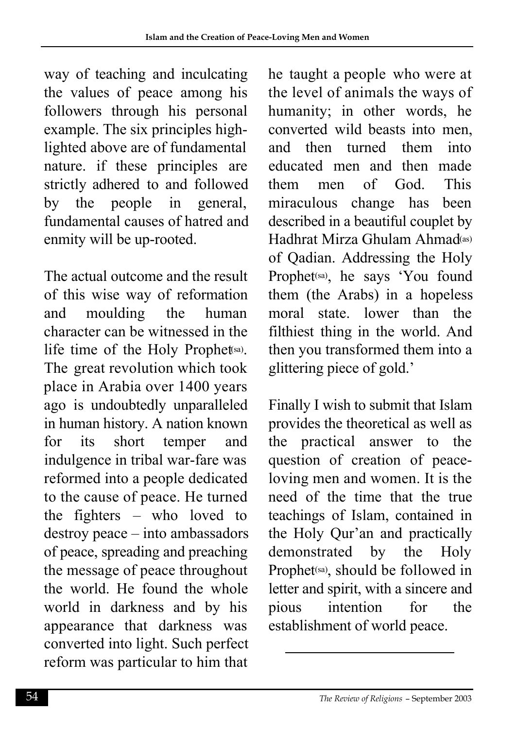way of teaching and inculcating the values of peace among his followers through his personal example. The six principles highlighted above are of fundamental nature. if these principles are strictly adhered to and followed by the people in general, fundamental causes of hatred and enmity will be up-rooted.

The actual outcome and the result of this wise way of reformation and moulding the human character can be witnessed in the life time of the Holy Prophet<sup>(sa)</sup>. The great revolution which took place in Arabia over 1400 years ago is undoubtedly unparalleled in human history. A nation known for its short temper and indulgence in tribal war-fare was reformed into a people dedicated to the cause of peace. He turned the fighters – who loved to destroy peace – into ambassadors of peace, spreading and preaching the message of peace throughout the world. He found the whole world in darkness and by his appearance that darkness was converted into light. Such perfect reform was particular to him that

he taught a people who were at the level of animals the ways of humanity; in other words, he converted wild beasts into men, and then turned them into educated men and then made them men of God. This miraculous change has been described in a beautiful couplet by Hadhrat Mirza Ghulam Ahmad(as) of Qadian. Addressing the Holy Prophet<sup>(sa)</sup>, he says 'You found them (the Arabs) in a hopeless moral state. lower than the filthiest thing in the world. And then you transformed them into a glittering piece of gold.'

Finally I wish to submit that Islam provides the theoretical as well as the practical answer to the question of creation of peaceloving men and women. It is the need of the time that the true teachings of Islam, contained in the Holy Qur'an and practically demonstrated by the Holy Prophet<sup>(sa)</sup>, should be followed in letter and spirit, with a sincere and pious intention for the establishment of world peace.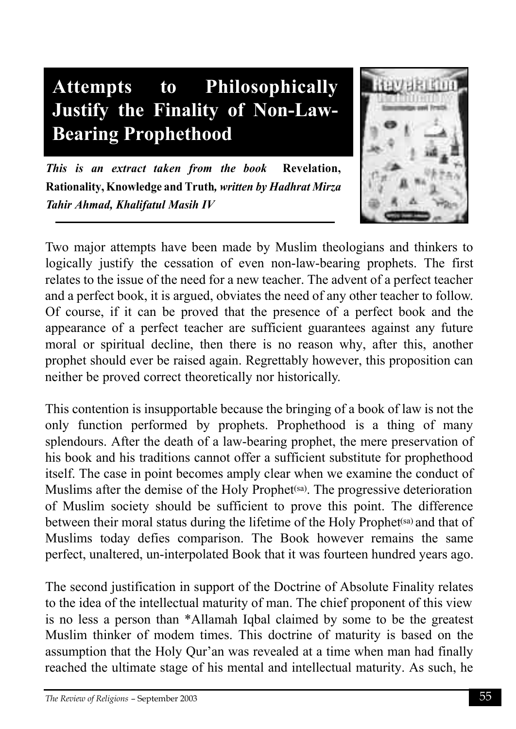



*This is an extract taken from the book* **Revelation**, **Rationality, Knowledge and Truth***, written by Hadhrat Mirza Tahir Ahmad, Khalifatul Masih IV*

Two major attempts have been made by Muslim theologians and thinkers to logically justify the cessation of even non-law-bearing prophets. The first relates to the issue of the need for a new teacher. The advent of a perfect teacher and a perfect book, it is argued, obviates the need of any other teacher to follow. Of course, if it can be proved that the presence of a perfect book and the appearance of a perfect teacher are sufficient guarantees against any future moral or spiritual decline, then there is no reason why, after this, another prophet should ever be raised again. Regrettably however, this proposition can neither be proved correct theoretically nor historically.

This contention is insupportable because the bringing of a book of law is not the only function performed by prophets. Prophethood is a thing of many splendours. After the death of a law-bearing prophet, the mere preservation of his book and his traditions cannot offer a sufficient substitute for prophethood itself. The case in point becomes amply clear when we examine the conduct of Muslims after the demise of the Holy Prophet<sup>(sa)</sup>. The progressive deterioration of Muslim society should be sufficient to prove this point. The difference between their moral status during the lifetime of the Holy Prophet(sa) and that of Muslims today defies comparison. The Book however remains the same perfect, unaltered, un-interpolated Book that it was fourteen hundred years ago.

The second justification in support of the Doctrine of Absolute Finality relates to the idea of the intellectual maturity of man. The chief proponent of this view is no less a person than \*Allamah Iqbal claimed by some to be the greatest Muslim thinker of modem times. This doctrine of maturity is based on the assumption that the Holy Qur'an was revealed at a time when man had finally reached the ultimate stage of his mental and intellectual maturity. As such, he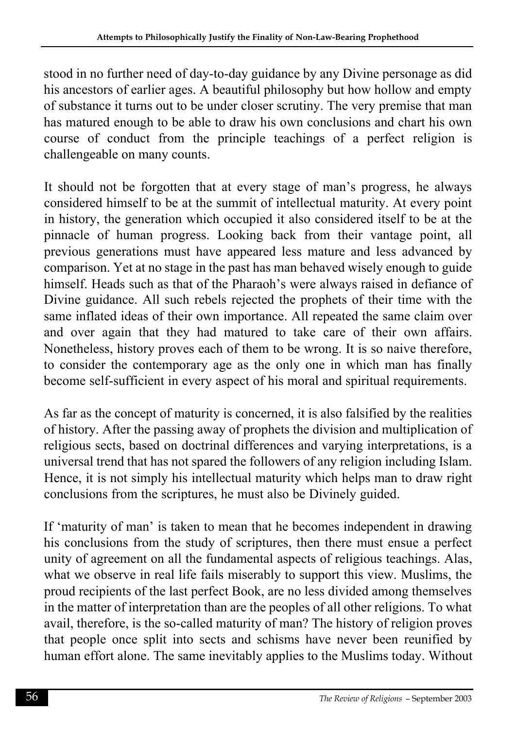stood in no further need of day-to-day guidance by any Divine personage as did his ancestors of earlier ages. A beautiful philosophy but how hollow and empty of substance it turns out to be under closer scrutiny. The very premise that man has matured enough to be able to draw his own conclusions and chart his own course of conduct from the principle teachings of a perfect religion is challengeable on many counts.

It should not be forgotten that at every stage of man's progress, he always considered himself to be at the summit of intellectual maturity. At every point in history, the generation which occupied it also considered itself to be at the pinnacle of human progress. Looking back from their vantage point, all previous generations must have appeared less mature and less advanced by comparison. Yet at no stage in the past has man behaved wisely enough to guide himself. Heads such as that of the Pharaoh's were always raised in defiance of Divine guidance. All such rebels rejected the prophets of their time with the same inflated ideas of their own importance. All repeated the same claim over and over again that they had matured to take care of their own affairs. Nonetheless, history proves each of them to be wrong. It is so naive therefore, to consider the contemporary age as the only one in which man has finally become self-sufficient in every aspect of his moral and spiritual requirements.

As far as the concept of maturity is concerned, it is also falsified by the realities of history. After the passing away of prophets the division and multiplication of religious sects, based on doctrinal differences and varying interpretations, is a universal trend that has not spared the followers of any religion including Islam. Hence, it is not simply his intellectual maturity which helps man to draw right conclusions from the scriptures, he must also be Divinely guided.

If 'maturity of man' is taken to mean that he becomes independent in drawing his conclusions from the study of scriptures, then there must ensue a perfect unity of agreement on all the fundamental aspects of religious teachings. Alas, what we observe in real life fails miserably to support this view. Muslims, the proud recipients of the last perfect Book, are no less divided among themselves in the matter of interpretation than are the peoples of all other religions. To what avail, therefore, is the so-called maturity of man? The history of religion proves that people once split into sects and schisms have never been reunified by human effort alone. The same inevitably applies to the Muslims today. Without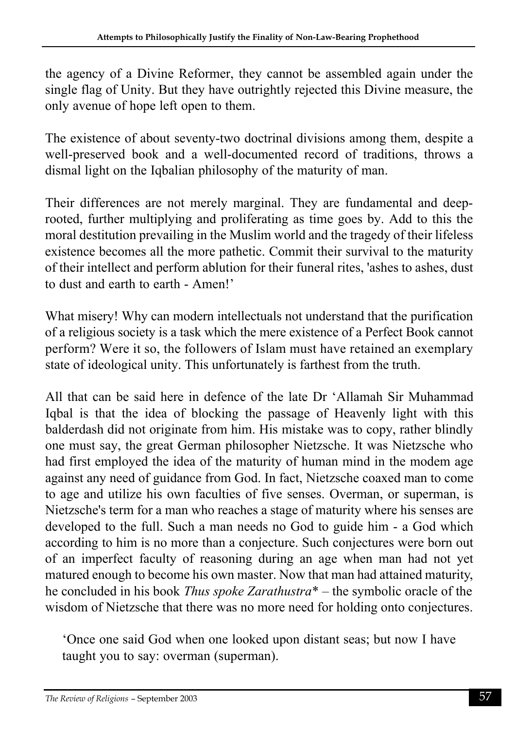the agency of a Divine Reformer, they cannot be assembled again under the single flag of Unity. But they have outrightly rejected this Divine measure, the only avenue of hope left open to them.

The existence of about seventy-two doctrinal divisions among them, despite a well-preserved book and a well-documented record of traditions, throws a dismal light on the Iqbalian philosophy of the maturity of man.

Their differences are not merely marginal. They are fundamental and deeprooted, further multiplying and proliferating as time goes by. Add to this the moral destitution prevailing in the Muslim world and the tragedy of their lifeless existence becomes all the more pathetic. Commit their survival to the maturity of their intellect and perform ablution for their funeral rites, 'ashes to ashes, dust to dust and earth to earth - Amen!'

What misery! Why can modern intellectuals not understand that the purification of a religious society is a task which the mere existence of a Perfect Book cannot perform? Were it so, the followers of Islam must have retained an exemplary state of ideological unity. This unfortunately is farthest from the truth.

All that can be said here in defence of the late Dr 'Allamah Sir Muhammad Iqbal is that the idea of blocking the passage of Heavenly light with this balderdash did not originate from him. His mistake was to copy, rather blindly one must say, the great German philosopher Nietzsche. It was Nietzsche who had first employed the idea of the maturity of human mind in the modem age against any need of guidance from God. In fact, Nietzsche coaxed man to come to age and utilize his own faculties of five senses. Overman, or superman, is Nietzsche's term for a man who reaches a stage of maturity where his senses are developed to the full. Such a man needs no God to guide him - a God which according to him is no more than a conjecture. Such conjectures were born out of an imperfect faculty of reasoning during an age when man had not yet matured enough to become his own master. Now that man had attained maturity, he concluded in his book *Thus spoke Zarathustra*\* – the symbolic oracle of the wisdom of Nietzsche that there was no more need for holding onto conjectures.

'Once one said God when one looked upon distant seas; but now I have taught you to say: overman (superman).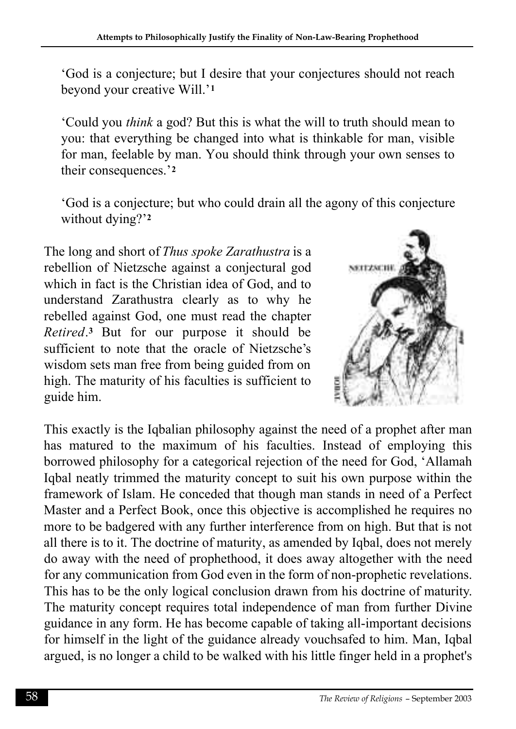'God is a conjecture; but I desire that your conjectures should not reach beyond your creative Will.'**<sup>1</sup>**

'Could you *think* a god? But this is what the will to truth should mean to you: that everything be changed into what is thinkable for man, visible for man, feelable by man. You should think through your own senses to their consequences.'**<sup>2</sup>**

'God is a conjecture; but who could drain all the agony of this conjecture without dying?'**<sup>2</sup>**

The long and short of *Thus spoke Zarathustra* is a rebellion of Nietzsche against a conjectural god which in fact is the Christian idea of God, and to understand Zarathustra clearly as to why he rebelled against God, one must read the chapter Retired.<sup>3</sup> But for our purpose it should be sufficient to note that the oracle of Nietzsche's wisdom sets man free from being guided from on high. The maturity of his faculties is sufficient to guide him.



This exactly is the Iqbalian philosophy against the need of a prophet after man has matured to the maximum of his faculties. Instead of employing this borrowed philosophy for a categorical rejection of the need for God, 'Allamah Iqbal neatly trimmed the maturity concept to suit his own purpose within the framework of Islam. He conceded that though man stands in need of a Perfect Master and a Perfect Book, once this objective is accomplished he requires no more to be badgered with any further interference from on high. But that is not all there is to it. The doctrine of maturity, as amended by Iqbal, does not merely do away with the need of prophethood, it does away altogether with the need for any communication from God even in the form of non-prophetic revelations. This has to be the only logical conclusion drawn from his doctrine of maturity. The maturity concept requires total independence of man from further Divine guidance in any form. He has become capable of taking all-important decisions for himself in the light of the guidance already vouchsafed to him. Man, Iqbal argued, is no longer a child to be walked with his little finger held in a prophet's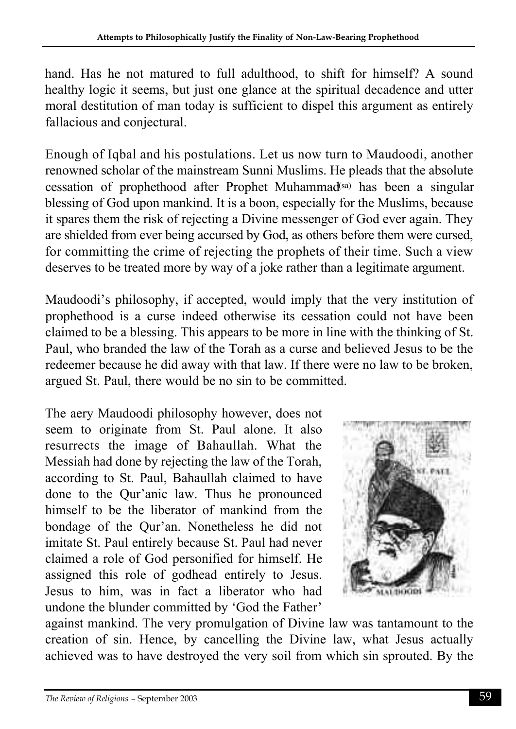hand. Has he not matured to full adulthood, to shift for himself? A sound healthy logic it seems, but just one glance at the spiritual decadence and utter moral destitution of man today is sufficient to dispel this argument as entirely fallacious and conjectural.

Enough of Iqbal and his postulations. Let us now turn to Maudoodi, another renowned scholar of the mainstream Sunni Muslims. He pleads that the absolute cessation of prophethood after Prophet Muhammad<sup>(sa)</sup> has been a singular blessing of God upon mankind. It is a boon, especially for the Muslims, because it spares them the risk of rejecting a Divine messenger of God ever again. They are shielded from ever being accursed by God, as others before them were cursed, for committing the crime of rejecting the prophets of their time. Such a view deserves to be treated more by way of a joke rather than a legitimate argument.

Maudoodi's philosophy, if accepted, would imply that the very institution of prophethood is a curse indeed otherwise its cessation could not have been claimed to be a blessing. This appears to be more in line with the thinking of St. Paul, who branded the law of the Torah as a curse and believed Jesus to be the redeemer because he did away with that law. If there were no law to be broken, argued St. Paul, there would be no sin to be committed.

The aery Maudoodi philosophy however, does not seem to originate from St. Paul alone. It also resurrects the image of Bahaullah. What the Messiah had done by rejecting the law of the Torah, according to St. Paul, Bahaullah claimed to have done to the Qur'anic law. Thus he pronounced himself to be the liberator of mankind from the bondage of the Qur'an. Nonetheless he did not imitate St. Paul entirely because St. Paul had never claimed a role of God personified for himself. He assigned this role of godhead entirely to Jesus. Jesus to him, was in fact a liberator who had undone the blunder committed by 'God the Father'



against mankind. The very promulgation of Divine law was tantamount to the creation of sin. Hence, by cancelling the Divine law, what Jesus actually achieved was to have destroyed the very soil from which sin sprouted. By the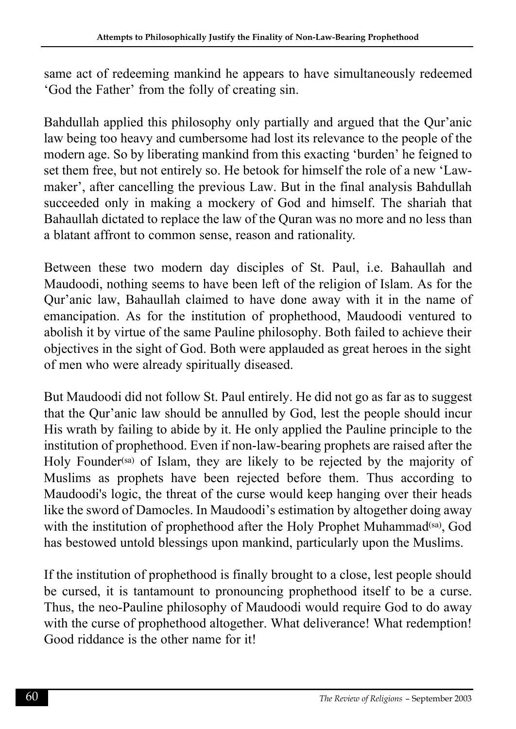same act of redeeming mankind he appears to have simultaneously redeemed 'God the Father' from the folly of creating sin.

Bahdullah applied this philosophy only partially and argued that the Qur'anic law being too heavy and cumbersome had lost its relevance to the people of the modern age. So by liberating mankind from this exacting 'burden' he feigned to set them free, but not entirely so. He betook for himself the role of a new 'Lawmaker', after cancelling the previous Law. But in the final analysis Bahdullah succeeded only in making a mockery of God and himself. The shariah that Bahaullah dictated to replace the law of the Quran was no more and no less than a blatant affront to common sense, reason and rationality.

Between these two modern day disciples of St. Paul, i.e. Bahaullah and Maudoodi, nothing seems to have been left of the religion of Islam. As for the Qur'anic law, Bahaullah claimed to have done away with it in the name of emancipation. As for the institution of prophethood, Maudoodi ventured to abolish it by virtue of the same Pauline philosophy. Both failed to achieve their objectives in the sight of God. Both were applauded as great heroes in the sight of men who were already spiritually diseased.

But Maudoodi did not follow St. Paul entirely. He did not go as far as to suggest that the Qur'anic law should be annulled by God, lest the people should incur His wrath by failing to abide by it. He only applied the Pauline principle to the institution of prophethood. Even if non-law-bearing prophets are raised after the Holy Founder(sa) of Islam, they are likely to be rejected by the majority of Muslims as prophets have been rejected before them. Thus according to Maudoodi's logic, the threat of the curse would keep hanging over their heads like the sword of Damocles. In Maudoodi's estimation by altogether doing away with the institution of prophethood after the Holy Prophet Muhammad<sup>(sa)</sup>, God has bestowed untold blessings upon mankind, particularly upon the Muslims.

If the institution of prophethood is finally brought to a close, lest people should be cursed, it is tantamount to pronouncing prophethood itself to be a curse. Thus, the neo-Pauline philosophy of Maudoodi would require God to do away with the curse of prophethood altogether. What deliverance! What redemption! Good riddance is the other name for it!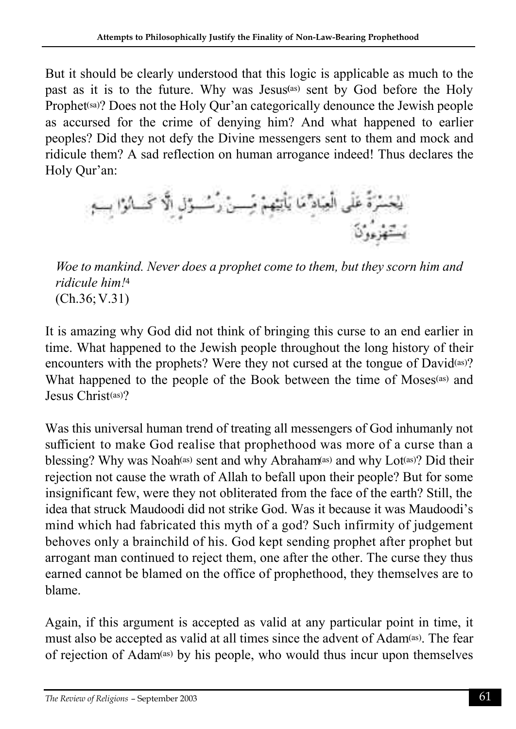But it should be clearly understood that this logic is applicable as much to the past as it is to the future. Why was Jesus**(**as) sent by God before the Holy Prophet<sup>(sa)</sup>? Does not the Holy Our'an categorically denounce the Jewish people as accursed for the crime of denying him? And what happened to earlier peoples? Did they not defy the Divine messengers sent to them and mock and ridicule them? A sad reflection on human arrogance indeed! Thus declares the Holy Qur'an:

*Woe to mankind. Never does a prophet come to them, but they scorn him and ridicule him!*<sup>4</sup> (Ch.36; V.31)

It is amazing why God did not think of bringing this curse to an end earlier in time. What happened to the Jewish people throughout the long history of their encounters with the prophets? Were they not cursed at the tongue of David<sup>(as)?</sup> What happened to the people of the Book between the time of Moses<sup>(as)</sup> and Jesus Christ(as)?

Was this universal human trend of treating all messengers of God inhumanly not sufficient to make God realise that prophethood was more of a curse than a blessing? Why was Noah<sup>(as)</sup> sent and why Abraham<sup>(as)</sup> and why Lot<sup>(as)</sup>? Did their rejection not cause the wrath of Allah to befall upon their people? But for some insignificant few, were they not obliterated from the face of the earth? Still, the idea that struck Maudoodi did not strike God. Was it because it was Maudoodi's mind which had fabricated this myth of a god? Such infirmity of judgement behoves only a brainchild of his. God kept sending prophet after prophet but arrogant man continued to reject them, one after the other. The curse they thus earned cannot be blamed on the office of prophethood, they themselves are to blame.

Again, if this argument is accepted as valid at any particular point in time, it must also be accepted as valid at all times since the advent of Adam<sup>(as)</sup>. The fear of rejection of Adam(as) by his people, who would thus incur upon themselves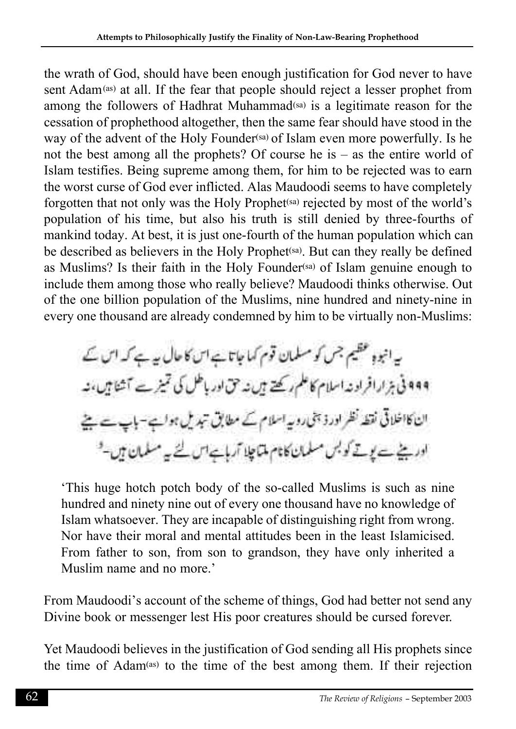the wrath of God, should have been enough justification for God never to have sent Adam<sup>(as)</sup> at all. If the fear that people should reject a lesser prophet from among the followers of Hadhrat Muhammad<sup>(sa)</sup> is a legitimate reason for the cessation of prophethood altogether, then the same fear should have stood in the way of the advent of the Holy Founder<sup>(sa)</sup> of Islam even more powerfully. Is he not the best among all the prophets? Of course he is – as the entire world of Islam testifies. Being supreme among them, for him to be rejected was to earn the worst curse of God ever inflicted. Alas Maudoodi seems to have completely forgotten that not only was the Holy Prophet<sup>(sa)</sup> rejected by most of the world's population of his time, but also his truth is still denied by three-fourths of mankind today. At best, it is just one-fourth of the human population which can be described as believers in the Holy Prophet<sup>(sa)</sup>. But can they really be defined as Muslims? Is their faith in the Holy Founder<sup>(sa)</sup> of Islam genuine enough to include them among those who really believe? Maudoodi thinks otherwise. Out of the one billion population of the Muslims, nine hundred and ninety-nine in every one thousand are already condemned by him to be virtually non-Muslims:

ہے انبو ہ عظیم جس کو مسلمان قوم کہا جاتا ہے اس کا حال ہیہ ہے کہ اس کے ۹۹۹ فی بزار افراد نداسلام کاعلم رکھتے ہیں نہ حق اور باطل کی تمیزے آشنا ہیں، نہ الناكااخلاقی نقطہ نظر اور ذہنی رویہ اسلام کے مطابق تبدیل ہواہے-ہاپ سے پہنچ اور بیٹے سے پوتے کو بس مسلمان کانام ماتا چلا آرہاہےاس لئے یہ مسلمان ہیں

'This huge hotch potch body of the so-called Muslims is such as nine hundred and ninety nine out of every one thousand have no knowledge of Islam whatsoever. They are incapable of distinguishing right from wrong. Nor have their moral and mental attitudes been in the least Islamicised. From father to son, from son to grandson, they have only inherited a Muslim name and no more.'

From Maudoodi's account of the scheme of things, God had better not send any Divine book or messenger lest His poor creatures should be cursed forever.

Yet Maudoodi believes in the justification of God sending all His prophets since the time of Adam(as) to the time of the best among them. If their rejection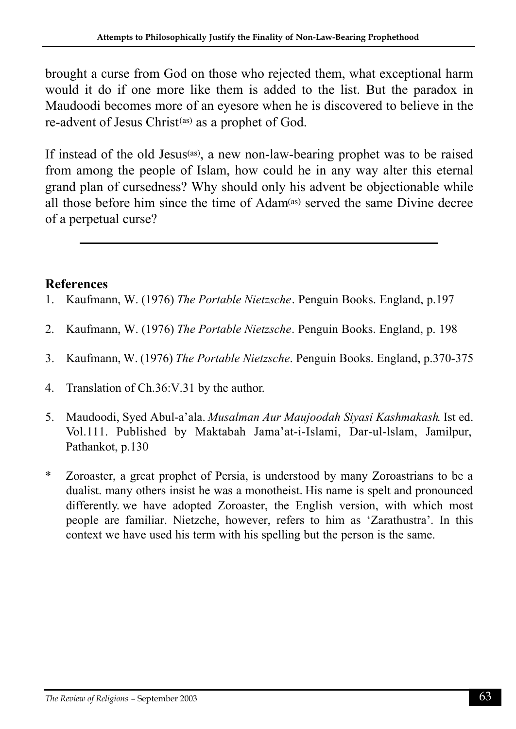brought a curse from God on those who rejected them, what exceptional harm would it do if one more like them is added to the list. But the paradox in Maudoodi becomes more of an eyesore when he is discovered to believe in the re-advent of Jesus Christ(as) as a prophet of God.

If instead of the old Jesus(as), a new non-law-bearing prophet was to be raised from among the people of Islam, how could he in any way alter this eternal grand plan of cursedness? Why should only his advent be objectionable while all those before him since the time of Adam(as) served the same Divine decree of a perpetual curse?

### **References**

- 1. Kaufmann, W. (1976) *The Portable Nietzsche*. Penguin Books. England, p.197
- 2. Kaufmann, W. (1976) *The Portable Nietzsche*. Penguin Books. England, p. 198
- 3. Kaufmann, W. (1976) *The Portable Nietzsche*. Penguin Books. England, p.370-375
- 4. Translation of Ch.36:V.31 by the author.
- 5. Maudoodi, Syed Abul-a'ala. *Musalman Aur Maujoodah Siyasi Kashmakash*. Ist ed. Vol.111. Published by Maktabah Jama'at-i-Islami, Dar-ul-Islam, Jamilpur, Pathankot, p.130
- \* Zoroaster, a great prophet of Persia, is understood by many Zoroastrians to be a dualist. many others insist he was a monotheist. His name is spelt and pronounced differently. we have adopted Zoroaster, the English version, with which most people are familiar. Nietzche, however, refers to him as 'Zarathustra'. In this context we have used his term with his spelling but the person is the same.